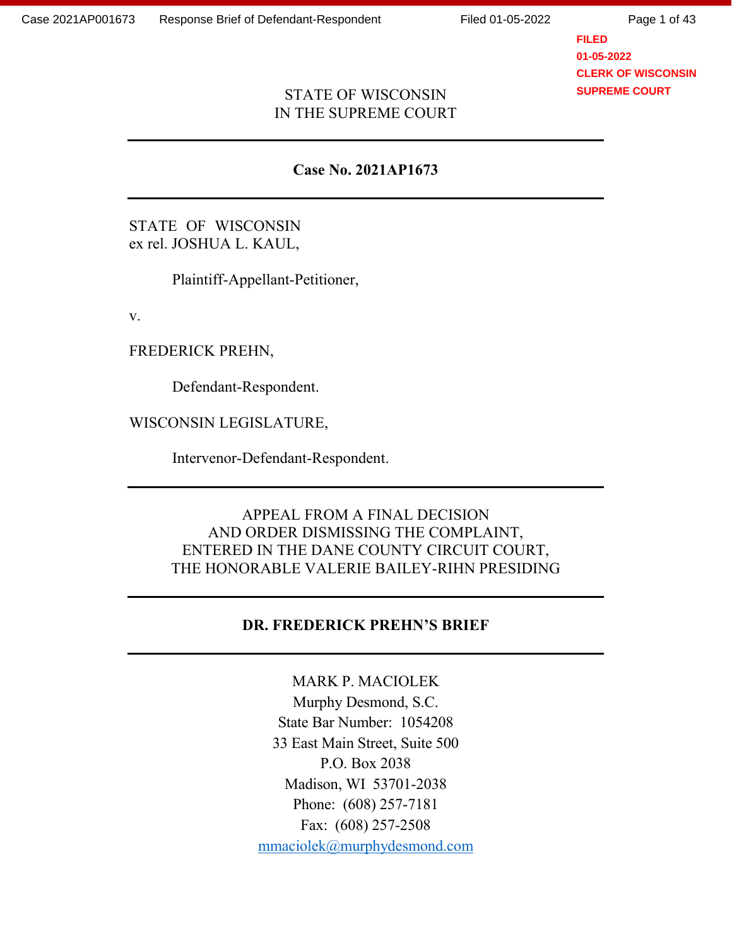Page 1 of 43

## **FILED 01-05-2022 CLERK OF WISCONSIN SUPREME COURT**

#### STATE OF WISCONSIN IN THE SUPREME COURT

#### **Case No. 2021AP1673**

STATE OF WISCONSIN ex rel. JOSHUA L. KAUL,

Plaintiff-Appellant-Petitioner,

v.

FREDERICK PREHN,

Defendant-Respondent.

WISCONSIN LEGISLATURE,

Intervenor-Defendant-Respondent.

# APPEAL FROM A FINAL DECISION AND ORDER DISMISSING THE COMPLAINT, ENTERED IN THE DANE COUNTY CIRCUIT COURT, THE HONORABLE VALERIE BAILEY-RIHN PRESIDING

## **DR. FREDERICK PREHN'S BRIEF**

MARK P. MACIOLEK Murphy Desmond, S.C. State Bar Number: 1054208 33 East Main Street, Suite 500 P.O. Box 2038 Madison, WI 53701-2038 Phone: (608) 257-7181 Fax: (608) 257-2508 [mmaciolek@murphydesmond.com](mailto:mmaciolek@murphydesmond.com)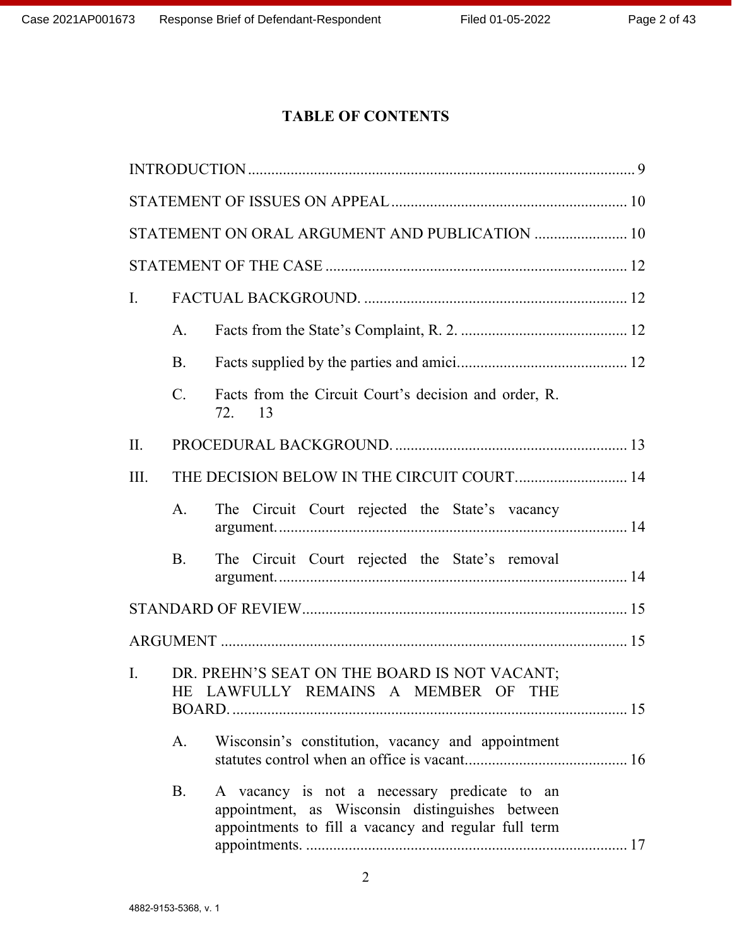# **TABLE OF CONTENTS**

|                |                | STATEMENT ON ORAL ARGUMENT AND PUBLICATION  10                                                                                                          |  |
|----------------|----------------|---------------------------------------------------------------------------------------------------------------------------------------------------------|--|
|                |                |                                                                                                                                                         |  |
| Ι.             |                |                                                                                                                                                         |  |
|                | A.             |                                                                                                                                                         |  |
|                | <b>B.</b>      |                                                                                                                                                         |  |
|                | $C_{\cdot}$    | Facts from the Circuit Court's decision and order, R.<br>72.<br>13                                                                                      |  |
| $\prod$ .      |                |                                                                                                                                                         |  |
| III.           |                |                                                                                                                                                         |  |
|                | A <sub>1</sub> | The Circuit Court rejected the State's vacancy                                                                                                          |  |
|                | <b>B.</b>      | The Circuit Court rejected the State's removal                                                                                                          |  |
|                |                |                                                                                                                                                         |  |
|                |                |                                                                                                                                                         |  |
| $\mathbf{I}$ . |                | DR. PREHN'S SEAT ON THE BOARD IS NOT VACANT;<br>HE LAWFULLY REMAINS A MEMBER OF THE                                                                     |  |
|                | A.             | Wisconsin's constitution, vacancy and appointment                                                                                                       |  |
|                | <b>B.</b>      | A vacancy is not a necessary predicate to an<br>appointment, as Wisconsin distinguishes between<br>appointments to fill a vacancy and regular full term |  |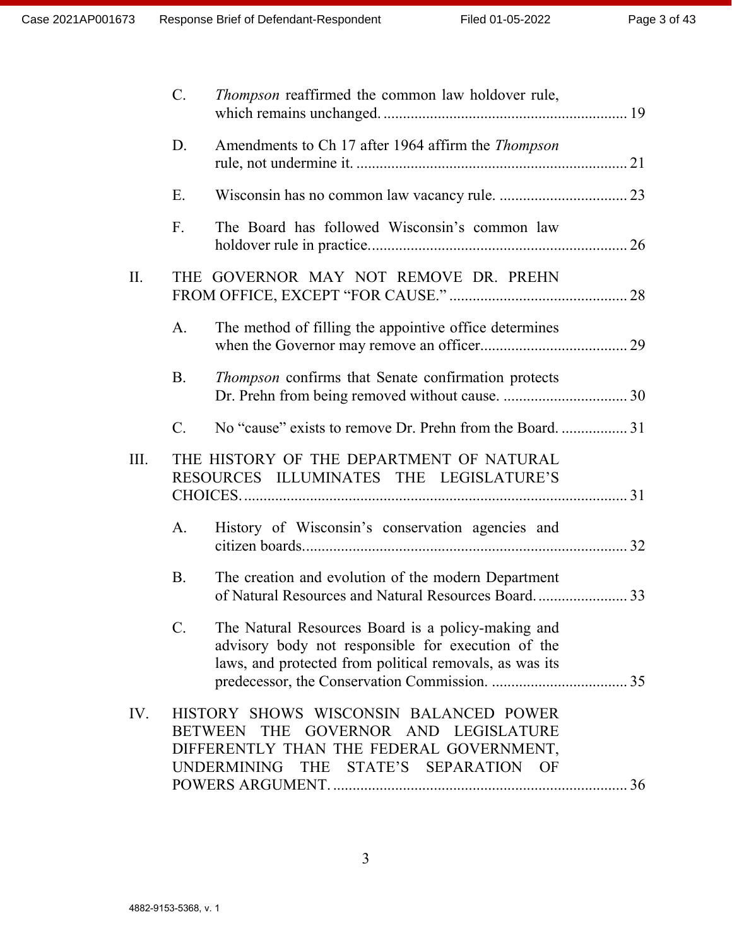|      | $C_{\cdot}$    | Thompson reaffirmed the common law holdover rule,                                                                                                                                        |  |
|------|----------------|------------------------------------------------------------------------------------------------------------------------------------------------------------------------------------------|--|
|      | D.             | Amendments to Ch 17 after 1964 affirm the Thompson                                                                                                                                       |  |
|      | E.             |                                                                                                                                                                                          |  |
|      | F <sub>r</sub> | The Board has followed Wisconsin's common law                                                                                                                                            |  |
| II.  |                | THE GOVERNOR MAY NOT REMOVE DR. PREHN                                                                                                                                                    |  |
|      | A <sub>1</sub> | The method of filling the appointive office determines                                                                                                                                   |  |
|      | <b>B.</b>      | <i>Thompson</i> confirms that Senate confirmation protects                                                                                                                               |  |
|      | C.             |                                                                                                                                                                                          |  |
| III. |                | THE HISTORY OF THE DEPARTMENT OF NATURAL<br>RESOURCES ILLUMINATES THE LEGISLATURE'S                                                                                                      |  |
|      | A.             | History of Wisconsin's conservation agencies and                                                                                                                                         |  |
|      | <b>B.</b>      | The creation and evolution of the modern Department                                                                                                                                      |  |
|      | $C$ .          | The Natural Resources Board is a policy-making and<br>advisory body not responsible for execution of the<br>laws, and protected from political removals, as was its                      |  |
| IV.  |                | HISTORY SHOWS WISCONSIN BALANCED POWER<br>THE GOVERNOR AND LEGISLATURE<br>BETWEEN<br>DIFFERENTLY THAN THE FEDERAL GOVERNMENT,<br>THE<br>STATE'S SEPARATION<br><b>UNDERMINING</b><br>– OF |  |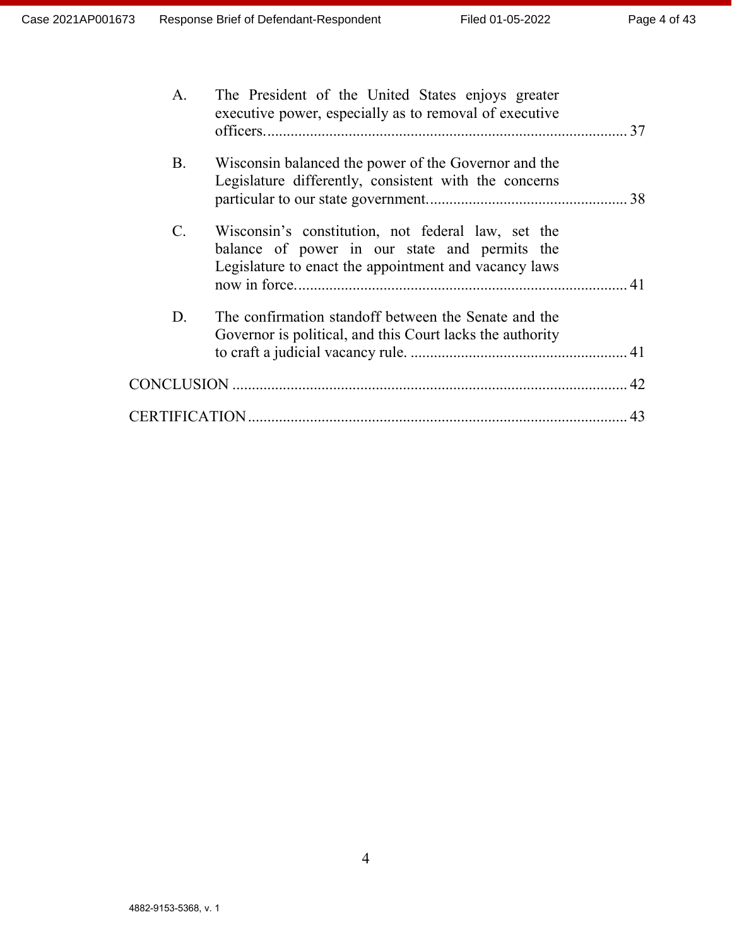| A.              | The President of the United States enjoys greater<br>executive power, especially as to removal of executive                                                  |    |
|-----------------|--------------------------------------------------------------------------------------------------------------------------------------------------------------|----|
| <b>B.</b>       | Wisconsin balanced the power of the Governor and the<br>Legislature differently, consistent with the concerns                                                |    |
| $\mathcal{C}$ . | Wisconsin's constitution, not federal law, set the<br>balance of power in our state and permits the<br>Legislature to enact the appointment and vacancy laws |    |
| D.              | The confirmation standoff between the Senate and the<br>Governor is political, and this Court lacks the authority                                            |    |
|                 |                                                                                                                                                              |    |
|                 |                                                                                                                                                              | 43 |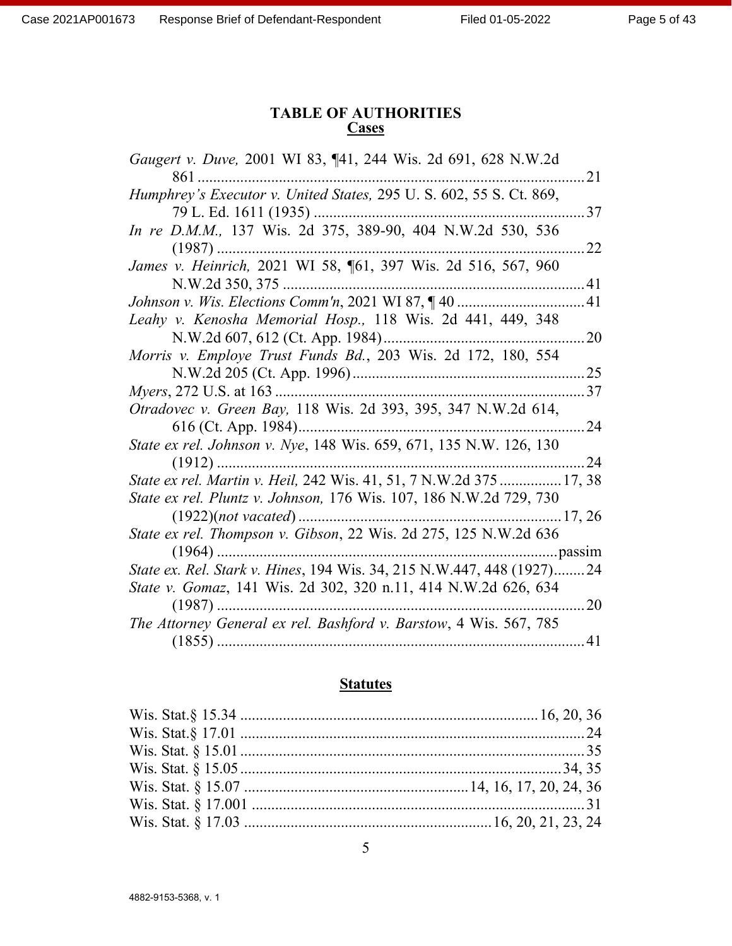## **TABLE OF AUTHORITIES Cases**

| Gaugert v. Duve, 2001 WI 83, ¶41, 244 Wis. 2d 691, 628 N.W.2d         |             |
|-----------------------------------------------------------------------|-------------|
| 861                                                                   | 21          |
| Humphrey's Executor v. United States, 295 U.S. 602, 55 S.Ct. 869,     |             |
| 79 L. Ed. 1611 (1935)                                                 | 37          |
| In re D.M.M., 137 Wis. 2d 375, 389-90, 404 N.W.2d 530, 536            |             |
| $(1987)$                                                              | 22          |
| James v. Heinrich, 2021 WI 58, ¶61, 397 Wis. 2d 516, 567, 960         |             |
| N.W.2d 350, 375                                                       | 41          |
| Johnson v. Wis. Elections Comm'n, 2021 WI 87, ¶40                     | 41          |
| Leahy v. Kenosha Memorial Hosp., 118 Wis. 2d 441, 449, 348            |             |
| N.W.2d 607, 612 (Ct. App. 1984)                                       | 20          |
| Morris v. Employe Trust Funds Bd., 203 Wis. 2d 172, 180, 554          |             |
|                                                                       | $\ldots$ 25 |
| <i>Myers</i> , 272 U.S. at 163                                        | 37          |
| Otradovec v. Green Bay, 118 Wis. 2d 393, 395, 347 N.W.2d 614,         |             |
| 616 (Ct. App. 1984)                                                   | 24          |
| State ex rel. Johnson v. Nye, 148 Wis. 659, 671, 135 N.W. 126, 130    |             |
| $(1912)$                                                              | 24          |
| State ex rel. Martin v. Heil, 242 Wis. 41, 51, 7 N.W.2d 375  17, 38   |             |
| State ex rel. Pluntz v. Johnson, 176 Wis. 107, 186 N.W.2d 729, 730    |             |
| 17, 26                                                                |             |
| State ex rel. Thompson v. Gibson, 22 Wis. 2d 275, 125 N.W.2d 636      |             |
| pass1m                                                                |             |
| State ex. Rel. Stark v. Hines, 194 Wis. 34, 215 N.W.447, 448 (1927)24 |             |
| State v. Gomaz, 141 Wis. 2d 302, 320 n.11, 414 N.W.2d 626, 634        |             |
| $(1987)$                                                              | 20          |
| The Attorney General ex rel. Bashford v. Barstow, 4 Wis. 567, 785     |             |
|                                                                       | .41         |

## **Statutes**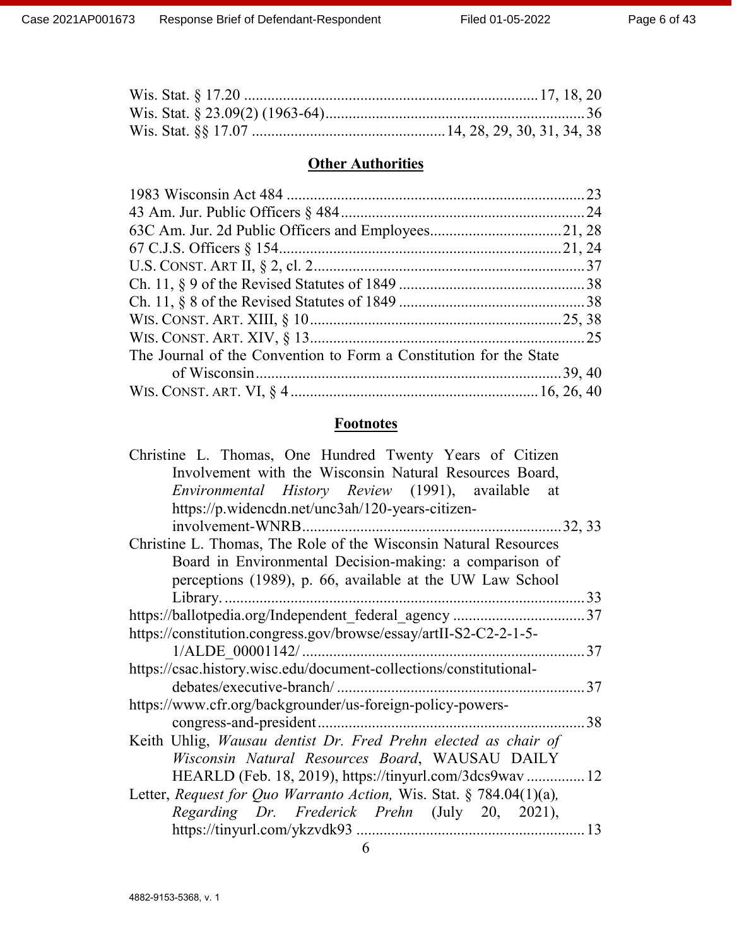# **Other Authorities**

| The Journal of the Convention to Form a Constitution for the State |  |
|--------------------------------------------------------------------|--|
|                                                                    |  |
|                                                                    |  |

# **Footnotes**

| Christine L. Thomas, One Hundred Twenty Years of Citizen            |    |
|---------------------------------------------------------------------|----|
| Involvement with the Wisconsin Natural Resources Board,             |    |
| Environmental History Review (1991), available<br>at                |    |
| https://p.widencdn.net/unc3ah/120-years-citizen-                    |    |
| involvement-WNRB                                                    |    |
| Christine L. Thomas, The Role of the Wisconsin Natural Resources    |    |
| Board in Environmental Decision-making: a comparison of             |    |
| perceptions (1989), p. 66, available at the UW Law School           |    |
| Library                                                             | 33 |
| https://ballotpedia.org/Independent_federal_agency 37               |    |
| https://constitution.congress.gov/browse/essay/artII-S2-C2-2-1-5-   |    |
|                                                                     |    |
| https://csac.history.wisc.edu/document-collections/constitutional-  |    |
| debates/executive-branch/                                           |    |
| https://www.cfr.org/backgrounder/us-foreign-policy-powers-          |    |
|                                                                     | 38 |
| Keith Uhlig, Wausau dentist Dr. Fred Prehn elected as chair of      |    |
| Wisconsin Natural Resources Board, WAUSAU DAILY                     |    |
| HEARLD (Feb. 18, 2019), https://tinyurl.com/3dcs9wav 12             |    |
| Letter, Request for Quo Warranto Action, Wis. Stat. § 784.04(1)(a), |    |
| Regarding Dr. Frederick Prehn (July 20, 2021),                      |    |
|                                                                     | 13 |
|                                                                     |    |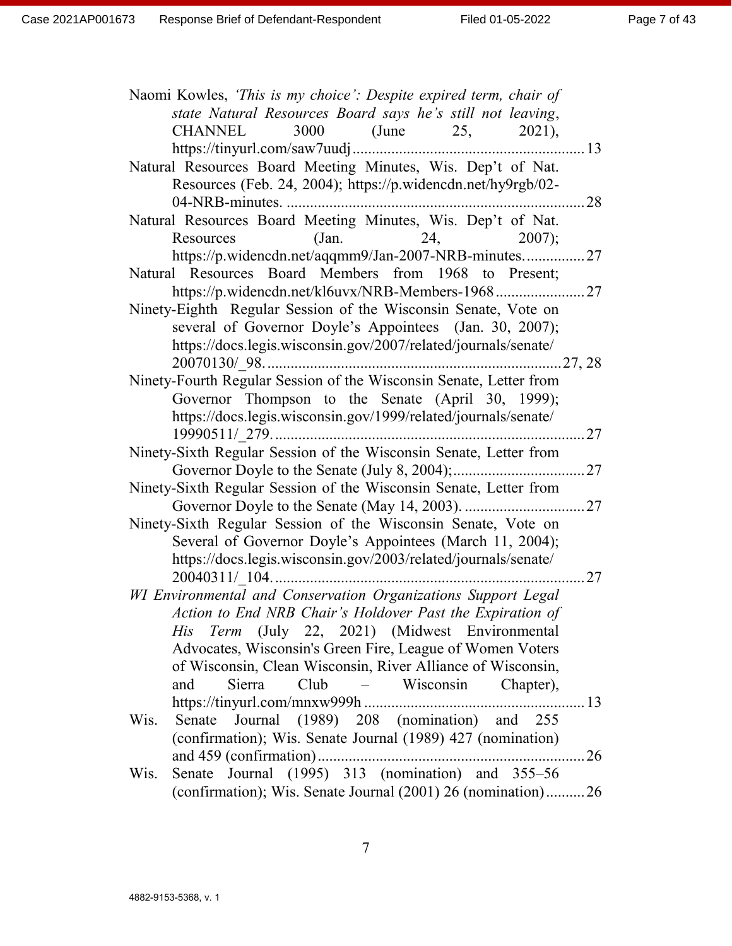| Naomi Kowles, 'This is my choice': Despite expired term, chair of<br>state Natural Resources Board says he's still not leaving,<br>CHANNEL<br>3000 (June 25, 2021), |
|---------------------------------------------------------------------------------------------------------------------------------------------------------------------|
|                                                                                                                                                                     |
| Natural Resources Board Meeting Minutes, Wis. Dep't of Nat.                                                                                                         |
| Resources (Feb. 24, 2004); https://p.widencdn.net/hy9rgb/02-                                                                                                        |
| 28                                                                                                                                                                  |
| Natural Resources Board Meeting Minutes, Wis. Dep't of Nat.                                                                                                         |
| 24,<br>Resources<br>(Jan.<br>$2007$ :                                                                                                                               |
| https://p.widencdn.net/aqqmm9/Jan-2007-NRB-minutes27                                                                                                                |
| Natural Resources Board Members from 1968 to Present;                                                                                                               |
| https://p.widencdn.net/kl6uvx/NRB-Members-1968                                                                                                                      |
| Ninety-Eighth Regular Session of the Wisconsin Senate, Vote on                                                                                                      |
| several of Governor Doyle's Appointees (Jan. 30, 2007);                                                                                                             |
| https://docs.legis.wisconsin.gov/2007/related/journals/senate/                                                                                                      |
|                                                                                                                                                                     |
| Ninety-Fourth Regular Session of the Wisconsin Senate, Letter from                                                                                                  |
| Governor Thompson to the Senate (April 30, 1999);                                                                                                                   |
| https://docs.legis.wisconsin.gov/1999/related/journals/senate/                                                                                                      |
|                                                                                                                                                                     |
| Ninety-Sixth Regular Session of the Wisconsin Senate, Letter from                                                                                                   |
|                                                                                                                                                                     |
| Ninety-Sixth Regular Session of the Wisconsin Senate, Letter from                                                                                                   |
|                                                                                                                                                                     |
| Ninety-Sixth Regular Session of the Wisconsin Senate, Vote on                                                                                                       |
| Several of Governor Doyle's Appointees (March 11, 2004);                                                                                                            |
| https://docs.legis.wisconsin.gov/2003/related/journals/senate/                                                                                                      |
|                                                                                                                                                                     |
| WI Environmental and Conservation Organizations Support Legal                                                                                                       |
| Action to End NRB Chair's Holdover Past the Expiration of                                                                                                           |
| His Term (July 22, 2021) (Midwest Environmental                                                                                                                     |
| Advocates, Wisconsin's Green Fire, League of Women Voters                                                                                                           |
| of Wisconsin, Clean Wisconsin, River Alliance of Wisconsin,                                                                                                         |
| Sierra<br>Club – Wisconsin Chapter),<br>and                                                                                                                         |
|                                                                                                                                                                     |
| Journal (1989) 208 (nomination) and 255<br>Wis.<br>Senate                                                                                                           |
| (confirmation); Wis. Senate Journal (1989) 427 (nomination)                                                                                                         |
|                                                                                                                                                                     |
| Senate Journal (1995) 313 (nomination) and 355–56<br>Wis.                                                                                                           |
| (confirmation); Wis. Senate Journal (2001) 26 (nomination)26                                                                                                        |
|                                                                                                                                                                     |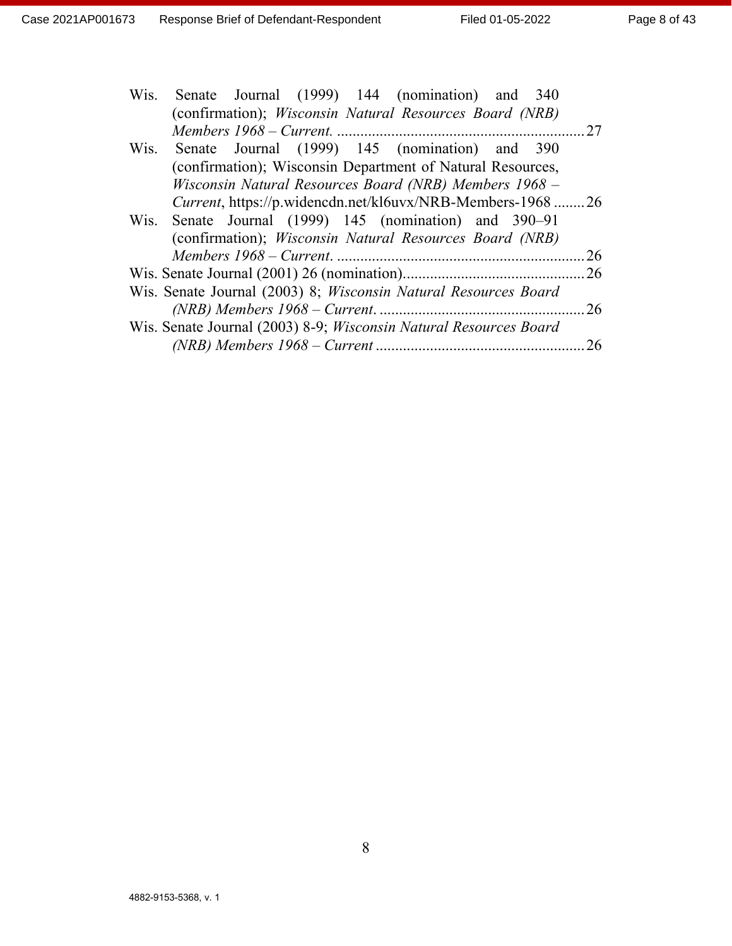| Wis. Senate Journal (1999) 144 (nomination) and 340                    |     |
|------------------------------------------------------------------------|-----|
| (confirmation); <i>Wisconsin Natural Resources Board (NRB)</i>         |     |
|                                                                        | .27 |
| Wis. Senate Journal (1999) 145 (nomination) and 390                    |     |
| (confirmation); Wisconsin Department of Natural Resources,             |     |
| Wisconsin Natural Resources Board (NRB) Members 1968 -                 |     |
| Current, https://p.widencdn.net/kl6uvx/NRB-Members-1968 26             |     |
| Wis. Senate Journal (1999) 145 (nomination) and 390–91                 |     |
| (confirmation); <i>Wisconsin Natural Resources Board (NRB)</i>         |     |
|                                                                        | 26  |
|                                                                        | .26 |
| Wis. Senate Journal (2003) 8; <i>Wisconsin Natural Resources Board</i> |     |
|                                                                        | 26  |
| Wis. Senate Journal (2003) 8-9; Wisconsin Natural Resources Board      |     |
|                                                                        | 26  |
|                                                                        |     |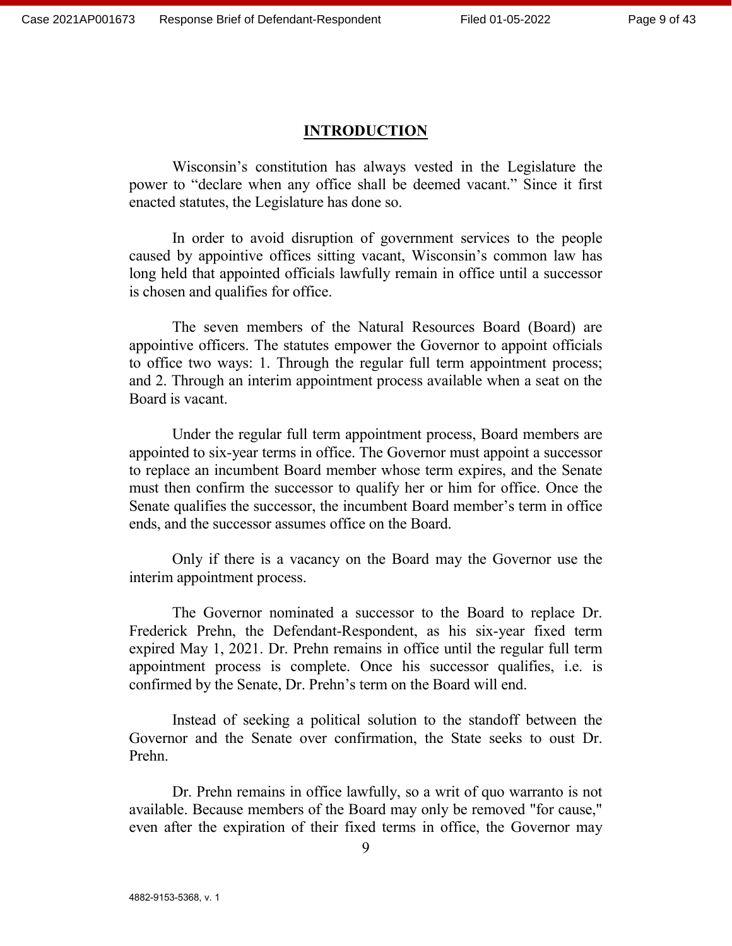#### **INTRODUCTION**

Wisconsin's constitution has always vested in the Legislature the power to "declare when any office shall be deemed vacant." Since it first enacted statutes, the Legislature has done so.

In order to avoid disruption of government services to the people caused by appointive offices sitting vacant, Wisconsin's common law has long held that appointed officials lawfully remain in office until a successor is chosen and qualifies for office.

The seven members of the Natural Resources Board (Board) are appointive officers. The statutes empower the Governor to appoint officials to office two ways: 1. Through the regular full term appointment process; and 2. Through an interim appointment process available when a seat on the Board is vacant.

Under the regular full term appointment process, Board members are appointed to six-year terms in office. The Governor must appoint a successor to replace an incumbent Board member whose term expires, and the Senate must then confirm the successor to qualify her or him for office. Once the Senate qualifies the successor, the incumbent Board member's term in office ends, and the successor assumes office on the Board.

Only if there is a vacancy on the Board may the Governor use the interim appointment process.

The Governor nominated a successor to the Board to replace Dr. Frederick Prehn, the Defendant-Respondent, as his six-year fixed term expired May 1, 2021. Dr. Prehn remains in office until the regular full term appointment process is complete. Once his successor qualifies, i.e. is confirmed by the Senate, Dr. Prehn's term on the Board will end.

Instead of seeking a political solution to the standoff between the Governor and the Senate over confirmation, the State seeks to oust Dr. Prehn.

Dr. Prehn remains in office lawfully, so a writ of quo warranto is not available. Because members of the Board may only be removed "for cause," even after the expiration of their fixed terms in office, the Governor may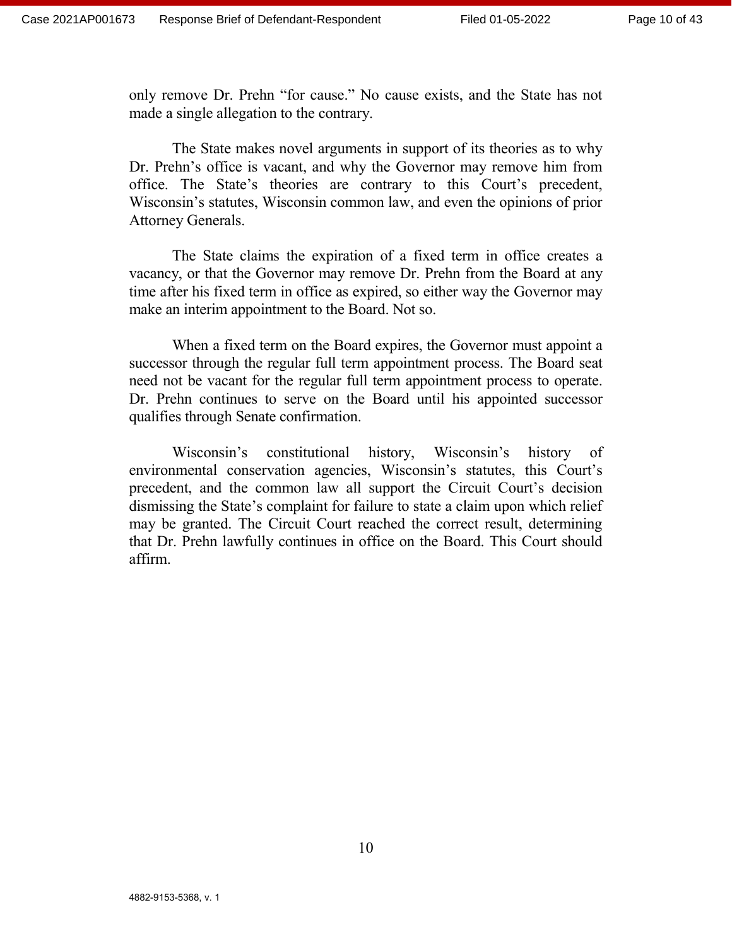only remove Dr. Prehn "for cause." No cause exists, and the State has not made a single allegation to the contrary.

The State makes novel arguments in support of its theories as to why Dr. Prehn's office is vacant, and why the Governor may remove him from office. The State's theories are contrary to this Court's precedent, Wisconsin's statutes, Wisconsin common law, and even the opinions of prior Attorney Generals.

The State claims the expiration of a fixed term in office creates a vacancy, or that the Governor may remove Dr. Prehn from the Board at any time after his fixed term in office as expired, so either way the Governor may make an interim appointment to the Board. Not so.

When a fixed term on the Board expires, the Governor must appoint a successor through the regular full term appointment process. The Board seat need not be vacant for the regular full term appointment process to operate. Dr. Prehn continues to serve on the Board until his appointed successor qualifies through Senate confirmation.

Wisconsin's constitutional history, Wisconsin's history of environmental conservation agencies, Wisconsin's statutes, this Court's precedent, and the common law all support the Circuit Court's decision dismissing the State's complaint for failure to state a claim upon which relief may be granted. The Circuit Court reached the correct result, determining that Dr. Prehn lawfully continues in office on the Board. This Court should affirm.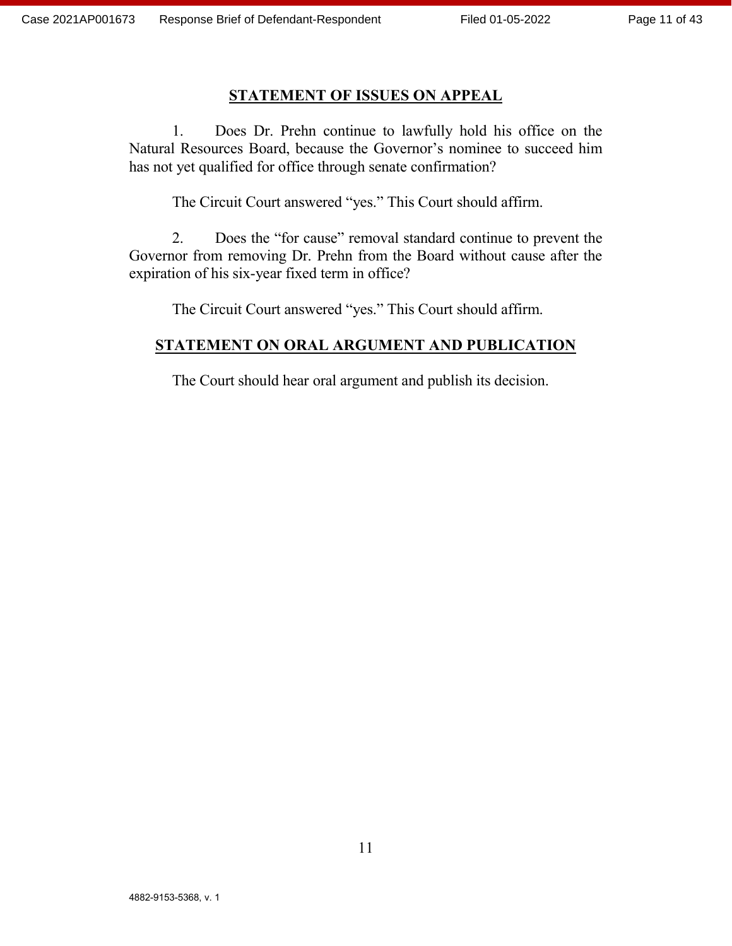#### **STATEMENT OF ISSUES ON APPEAL**

1. Does Dr. Prehn continue to lawfully hold his office on the Natural Resources Board, because the Governor's nominee to succeed him has not yet qualified for office through senate confirmation?

The Circuit Court answered "yes." This Court should affirm.

2. Does the "for cause" removal standard continue to prevent the Governor from removing Dr. Prehn from the Board without cause after the expiration of his six-year fixed term in office?

The Circuit Court answered "yes." This Court should affirm.

## **STATEMENT ON ORAL ARGUMENT AND PUBLICATION**

The Court should hear oral argument and publish its decision.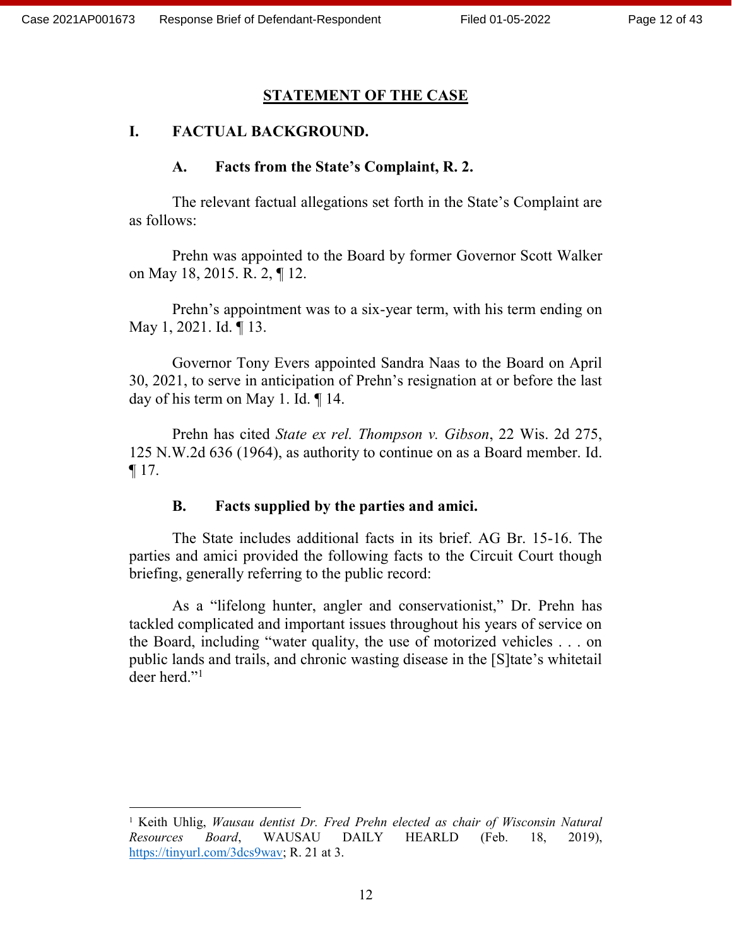$\overline{a}$ 

#### **STATEMENT OF THE CASE**

#### **I. FACTUAL BACKGROUND.**

#### **A. Facts from the State's Complaint, R. 2.**

The relevant factual allegations set forth in the State's Complaint are as follows:

Prehn was appointed to the Board by former Governor Scott Walker on May 18, 2015. R. 2, ¶ 12.

Prehn's appointment was to a six-year term, with his term ending on May 1, 2021. Id. ¶ 13.

Governor Tony Evers appointed Sandra Naas to the Board on April 30, 2021, to serve in anticipation of Prehn's resignation at or before the last day of his term on May 1. Id. ¶ 14.

Prehn has cited *State ex rel. Thompson v. Gibson*, 22 Wis. 2d 275, 125 N.W.2d 636 (1964), as authority to continue on as a Board member. Id. ¶ 17.

## **B. Facts supplied by the parties and amici.**

The State includes additional facts in its brief. AG Br. 15-16. The parties and amici provided the following facts to the Circuit Court though briefing, generally referring to the public record:

As a "lifelong hunter, angler and conservationist," Dr. Prehn has tackled complicated and important issues throughout his years of service on the Board, including "water quality, the use of motorized vehicles . . . on public lands and trails, and chronic wasting disease in the [S]tate's whitetail deer herd."<sup>1</sup>

<sup>1</sup> Keith Uhlig, *Wausau dentist Dr. Fred Prehn elected as chair of Wisconsin Natural Resources Board*, WAUSAU DAILY HEARLD (Feb. 18, 2019), [https://tinyurl.com/3dcs9wav;](https://tinyurl.com/3dcs9wav) R. 21 at 3.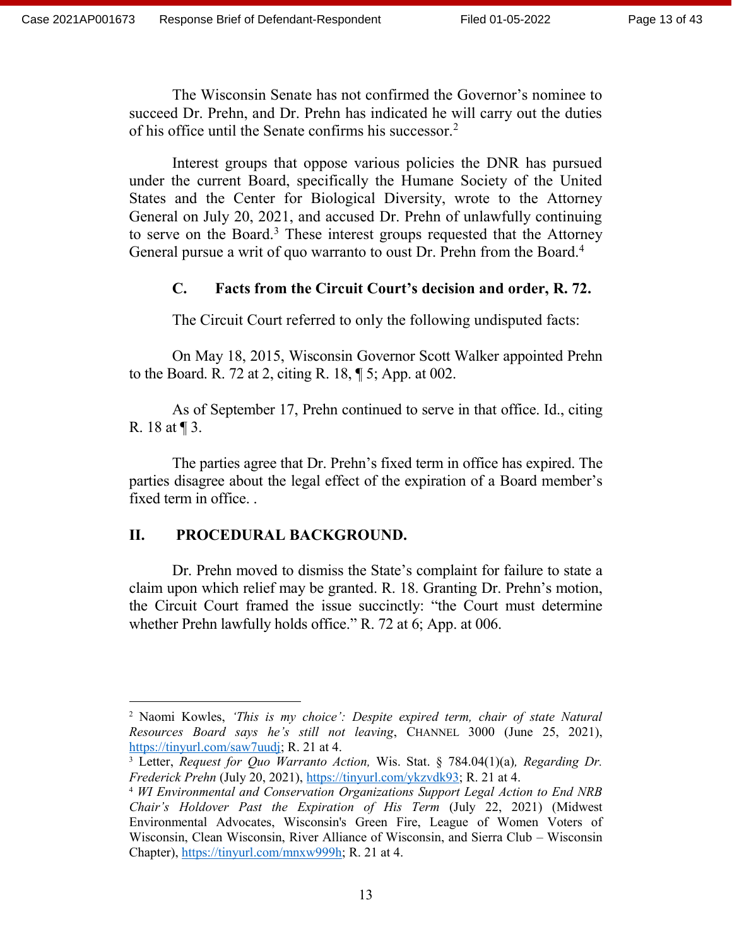The Wisconsin Senate has not confirmed the Governor's nominee to succeed Dr. Prehn, and Dr. Prehn has indicated he will carry out the duties of his office until the Senate confirms his successor.<sup>2</sup>

Interest groups that oppose various policies the DNR has pursued under the current Board, specifically the Humane Society of the United States and the Center for Biological Diversity, wrote to the Attorney General on July 20, 2021, and accused Dr. Prehn of unlawfully continuing to serve on the Board.<sup>3</sup> These interest groups requested that the Attorney General pursue a writ of quo warranto to oust Dr. Prehn from the Board.<sup>4</sup>

## **C. Facts from the Circuit Court's decision and order, R. 72.**

The Circuit Court referred to only the following undisputed facts:

On May 18, 2015, Wisconsin Governor Scott Walker appointed Prehn to the Board. R. 72 at 2, citing R. 18, ¶ 5; App. at 002.

As of September 17, Prehn continued to serve in that office. Id., citing R. 18 at ¶ 3.

The parties agree that Dr. Prehn's fixed term in office has expired. The parties disagree about the legal effect of the expiration of a Board member's fixed term in office. .

# **II. PROCEDURAL BACKGROUND.**

Dr. Prehn moved to dismiss the State's complaint for failure to state a claim upon which relief may be granted. R. 18. Granting Dr. Prehn's motion, the Circuit Court framed the issue succinctly: "the Court must determine whether Prehn lawfully holds office." R. 72 at 6; App. at 006.

<sup>2</sup> Naomi Kowles, *'This is my choice': Despite expired term, chair of state Natural Resources Board says he's still not leaving*, CHANNEL 3000 (June 25, 2021), [https://tinyurl.com/saw7uudj;](https://tinyurl.com/saw7uudj) R. 21 at 4.

<sup>3</sup> Letter, *Request for Quo Warranto Action,* Wis. Stat. § 784.04(1)(a)*, Regarding Dr. Frederick Prehn* (July 20, 2021), [https://tinyurl.com/ykzvdk93;](https://tinyurl.com/ykzvdk93) R. 21 at 4.

<sup>4</sup> *WI Environmental and Conservation Organizations Support Legal Action to End NRB Chair's Holdover Past the Expiration of His Term* (July 22, 2021) (Midwest Environmental Advocates, Wisconsin's Green Fire, League of Women Voters of Wisconsin, Clean Wisconsin, River Alliance of Wisconsin, and Sierra Club – Wisconsin Chapter), [https://tinyurl.com/mnxw999h;](https://tinyurl.com/mnxw999h) R. 21 at 4.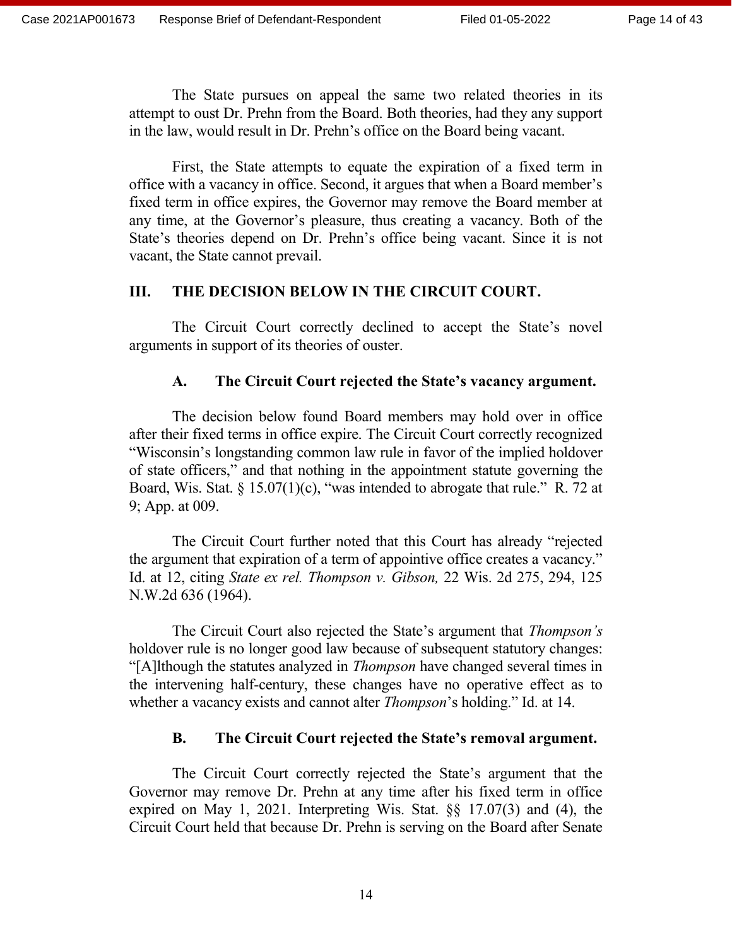The State pursues on appeal the same two related theories in its attempt to oust Dr. Prehn from the Board. Both theories, had they any support in the law, would result in Dr. Prehn's office on the Board being vacant.

First, the State attempts to equate the expiration of a fixed term in office with a vacancy in office. Second, it argues that when a Board member's fixed term in office expires, the Governor may remove the Board member at any time, at the Governor's pleasure, thus creating a vacancy. Both of the State's theories depend on Dr. Prehn's office being vacant. Since it is not vacant, the State cannot prevail.

## **III. THE DECISION BELOW IN THE CIRCUIT COURT.**

The Circuit Court correctly declined to accept the State's novel arguments in support of its theories of ouster.

## **A. The Circuit Court rejected the State's vacancy argument.**

The decision below found Board members may hold over in office after their fixed terms in office expire. The Circuit Court correctly recognized "Wisconsin's longstanding common law rule in favor of the implied holdover of state officers," and that nothing in the appointment statute governing the Board, Wis. Stat.  $\S$  15.07(1)(c), "was intended to abrogate that rule." R. 72 at 9; App. at 009.

The Circuit Court further noted that this Court has already "rejected the argument that expiration of a term of appointive office creates a vacancy." Id. at 12, citing *State ex rel. Thompson v. Gibson,* 22 Wis. 2d 275, 294, 125 N.W.2d 636 (1964).

The Circuit Court also rejected the State's argument that *Thompson's* holdover rule is no longer good law because of subsequent statutory changes: "[A]lthough the statutes analyzed in *Thompson* have changed several times in the intervening half-century, these changes have no operative effect as to whether a vacancy exists and cannot alter *Thompson*'s holding." Id. at 14.

## **B. The Circuit Court rejected the State's removal argument.**

The Circuit Court correctly rejected the State's argument that the Governor may remove Dr. Prehn at any time after his fixed term in office expired on May 1, 2021. Interpreting Wis. Stat. §§ 17.07(3) and (4), the Circuit Court held that because Dr. Prehn is serving on the Board after Senate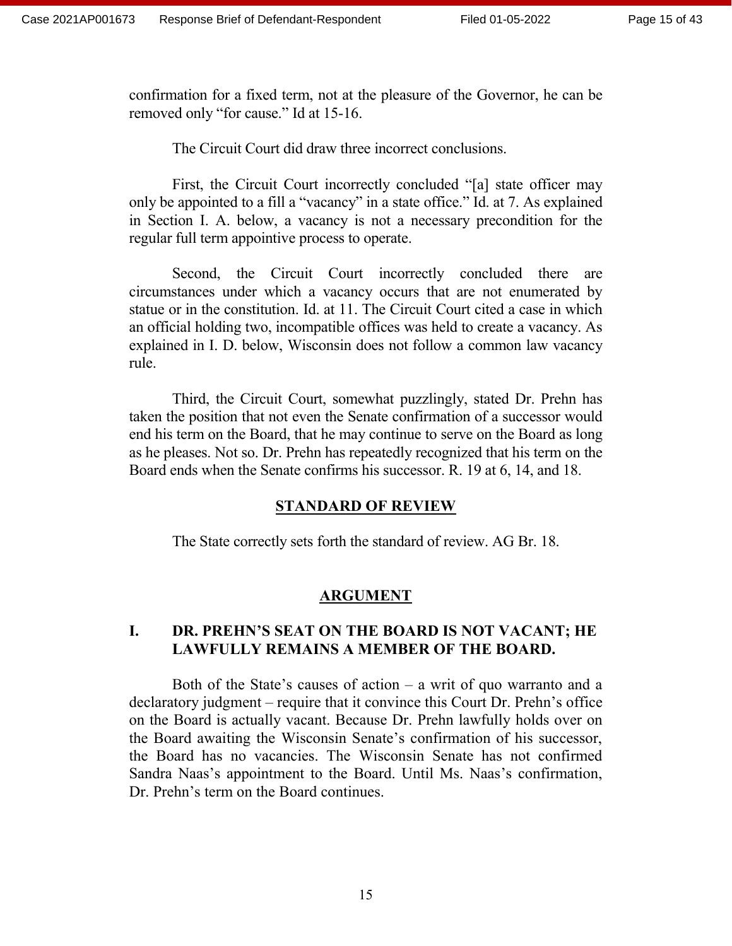confirmation for a fixed term, not at the pleasure of the Governor, he can be removed only "for cause." Id at 15-16.

The Circuit Court did draw three incorrect conclusions.

First, the Circuit Court incorrectly concluded "[a] state officer may only be appointed to a fill a "vacancy" in a state office." Id. at 7. As explained in Section I. A. below, a vacancy is not a necessary precondition for the regular full term appointive process to operate.

Second, the Circuit Court incorrectly concluded there are circumstances under which a vacancy occurs that are not enumerated by statue or in the constitution. Id. at 11. The Circuit Court cited a case in which an official holding two, incompatible offices was held to create a vacancy. As explained in I. D. below, Wisconsin does not follow a common law vacancy rule.

Third, the Circuit Court, somewhat puzzlingly, stated Dr. Prehn has taken the position that not even the Senate confirmation of a successor would end his term on the Board, that he may continue to serve on the Board as long as he pleases. Not so. Dr. Prehn has repeatedly recognized that his term on the Board ends when the Senate confirms his successor. R. 19 at 6, 14, and 18.

## **STANDARD OF REVIEW**

The State correctly sets forth the standard of review. AG Br. 18.

# **ARGUMENT**

## **I. DR. PREHN'S SEAT ON THE BOARD IS NOT VACANT; HE LAWFULLY REMAINS A MEMBER OF THE BOARD.**

Both of the State's causes of action  $-$  a writ of quo warranto and a declaratory judgment – require that it convince this Court Dr. Prehn's office on the Board is actually vacant. Because Dr. Prehn lawfully holds over on the Board awaiting the Wisconsin Senate's confirmation of his successor, the Board has no vacancies. The Wisconsin Senate has not confirmed Sandra Naas's appointment to the Board. Until Ms. Naas's confirmation, Dr. Prehn's term on the Board continues.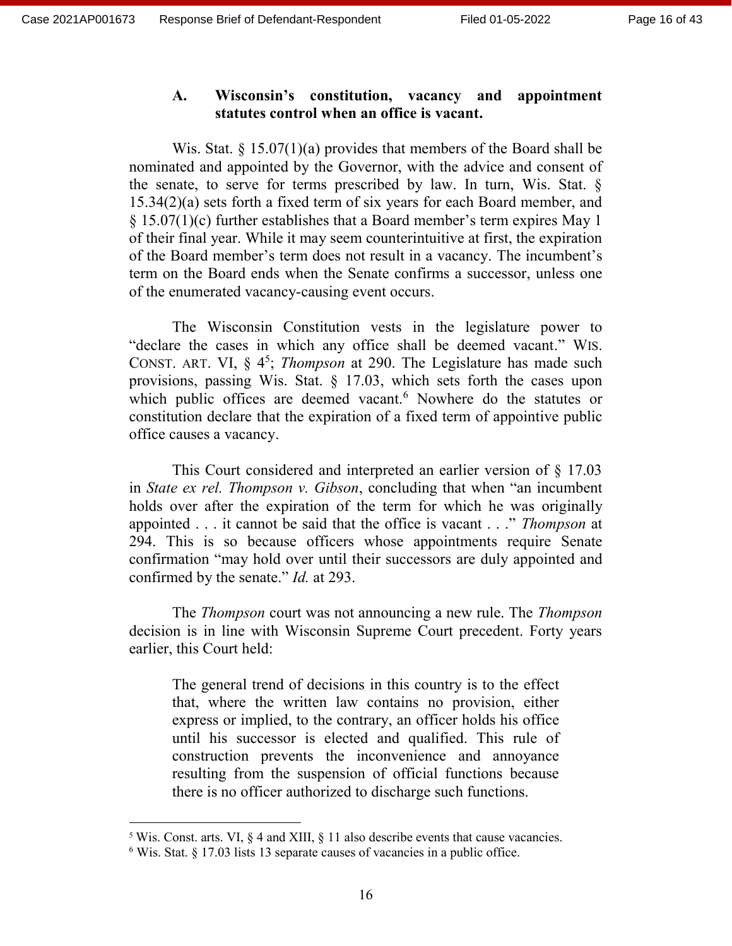## **A. Wisconsin's constitution, vacancy and appointment statutes control when an office is vacant.**

Wis. Stat.  $\S 15.07(1)(a)$  provides that members of the Board shall be nominated and appointed by the Governor, with the advice and consent of the senate, to serve for terms prescribed by law. In turn, Wis. Stat. § 15.34(2)(a) sets forth a fixed term of six years for each Board member, and § 15.07(1)(c) further establishes that a Board member's term expires May 1 of their final year. While it may seem counterintuitive at first, the expiration of the Board member's term does not result in a vacancy. The incumbent's term on the Board ends when the Senate confirms a successor, unless one of the enumerated vacancy-causing event occurs.

The Wisconsin Constitution vests in the legislature power to "declare the cases in which any office shall be deemed vacant." WIS. CONST. ART. VI,  $\S 4^5$ ; *Thompson* at 290. The Legislature has made such provisions, passing Wis. Stat. § 17.03, which sets forth the cases upon which public offices are deemed vacant.<sup>6</sup> Nowhere do the statutes or constitution declare that the expiration of a fixed term of appointive public office causes a vacancy.

This Court considered and interpreted an earlier version of § 17.03 in *State ex rel. Thompson v. Gibson*, concluding that when "an incumbent holds over after the expiration of the term for which he was originally appointed . . . it cannot be said that the office is vacant . . ." *Thompson* at 294. This is so because officers whose appointments require Senate confirmation "may hold over until their successors are duly appointed and confirmed by the senate." *Id.* at 293.

The *Thompson* court was not announcing a new rule. The *Thompson* decision is in line with Wisconsin Supreme Court precedent. Forty years earlier, this Court held:

The general trend of decisions in this country is to the effect that, where the written law contains no provision, either express or implied, to the contrary, an officer holds his office until his successor is elected and qualified. This rule of construction prevents the inconvenience and annoyance resulting from the suspension of official functions because there is no officer authorized to discharge such functions.

 $5$  Wis. Const. arts. VI,  $\S$  4 and XIII,  $\S$  11 also describe events that cause vacancies.

<sup>6</sup> Wis. Stat. § 17.03 lists 13 separate causes of vacancies in a public office.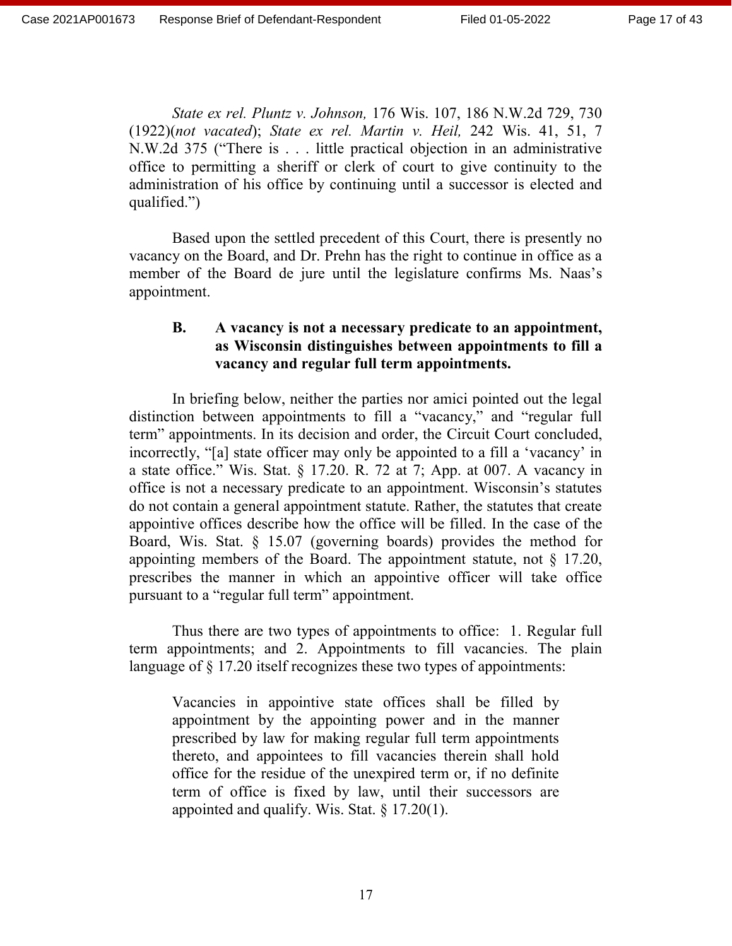*State ex rel. Pluntz v. Johnson,* 176 Wis. 107, 186 N.W.2d 729, 730 (1922)(*not vacated*); *State ex rel. Martin v. Heil,* 242 Wis. 41, 51, 7 N.W.2d 375 ("There is . . . little practical objection in an administrative office to permitting a sheriff or clerk of court to give continuity to the administration of his office by continuing until a successor is elected and qualified.")

Based upon the settled precedent of this Court, there is presently no vacancy on the Board, and Dr. Prehn has the right to continue in office as a member of the Board de jure until the legislature confirms Ms. Naas's appointment.

## **B. A vacancy is not a necessary predicate to an appointment, as Wisconsin distinguishes between appointments to fill a vacancy and regular full term appointments.**

In briefing below, neither the parties nor amici pointed out the legal distinction between appointments to fill a "vacancy," and "regular full term" appointments. In its decision and order, the Circuit Court concluded, incorrectly, "[a] state officer may only be appointed to a fill a 'vacancy' in a state office." Wis. Stat. § 17.20. R. 72 at 7; App. at 007. A vacancy in office is not a necessary predicate to an appointment. Wisconsin's statutes do not contain a general appointment statute. Rather, the statutes that create appointive offices describe how the office will be filled. In the case of the Board, Wis. Stat. § 15.07 (governing boards) provides the method for appointing members of the Board. The appointment statute, not  $\S$  17.20, prescribes the manner in which an appointive officer will take office pursuant to a "regular full term" appointment.

Thus there are two types of appointments to office: 1. Regular full term appointments; and 2. Appointments to fill vacancies. The plain language of § 17.20 itself recognizes these two types of appointments:

Vacancies in appointive state offices shall be filled by appointment by the appointing power and in the manner prescribed by law for making regular full term appointments thereto, and appointees to fill vacancies therein shall hold office for the residue of the unexpired term or, if no definite term of office is fixed by law, until their successors are appointed and qualify. Wis. Stat. § 17.20(1).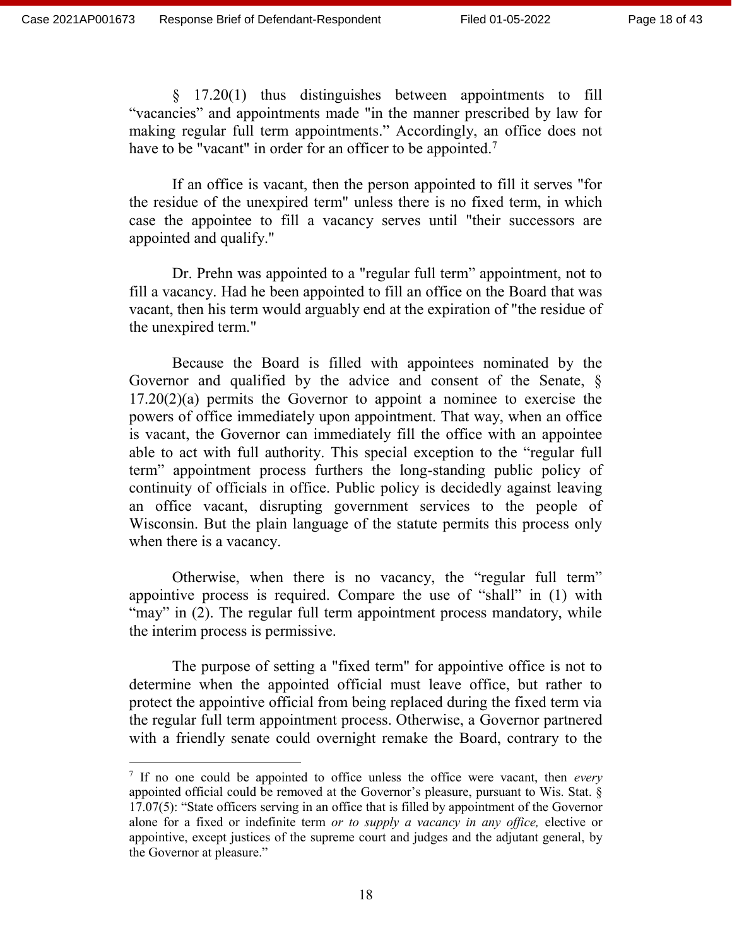$\overline{a}$ 

§ 17.20(1) thus distinguishes between appointments to fill "vacancies" and appointments made "in the manner prescribed by law for making regular full term appointments." Accordingly, an office does not have to be "vacant" in order for an officer to be appointed.<sup>7</sup>

If an office is vacant, then the person appointed to fill it serves "for the residue of the unexpired term" unless there is no fixed term, in which case the appointee to fill a vacancy serves until "their successors are appointed and qualify."

Dr. Prehn was appointed to a "regular full term" appointment, not to fill a vacancy. Had he been appointed to fill an office on the Board that was vacant, then his term would arguably end at the expiration of "the residue of the unexpired term."

Because the Board is filled with appointees nominated by the Governor and qualified by the advice and consent of the Senate, §  $17.20(2)(a)$  permits the Governor to appoint a nominee to exercise the powers of office immediately upon appointment. That way, when an office is vacant, the Governor can immediately fill the office with an appointee able to act with full authority. This special exception to the "regular full term" appointment process furthers the long-standing public policy of continuity of officials in office. Public policy is decidedly against leaving an office vacant, disrupting government services to the people of Wisconsin. But the plain language of the statute permits this process only when there is a vacancy.

Otherwise, when there is no vacancy, the "regular full term" appointive process is required. Compare the use of "shall" in (1) with "may" in (2). The regular full term appointment process mandatory, while the interim process is permissive.

The purpose of setting a "fixed term" for appointive office is not to determine when the appointed official must leave office, but rather to protect the appointive official from being replaced during the fixed term via the regular full term appointment process. Otherwise, a Governor partnered with a friendly senate could overnight remake the Board, contrary to the

<sup>7</sup> If no one could be appointed to office unless the office were vacant, then *every* appointed official could be removed at the Governor's pleasure, pursuant to Wis. Stat. § 17.07(5): "State officers serving in an office that is filled by appointment of the Governor alone for a fixed or indefinite term *or to supply a vacancy in any office,* elective or appointive, except justices of the supreme court and judges and the adjutant general, by the Governor at pleasure."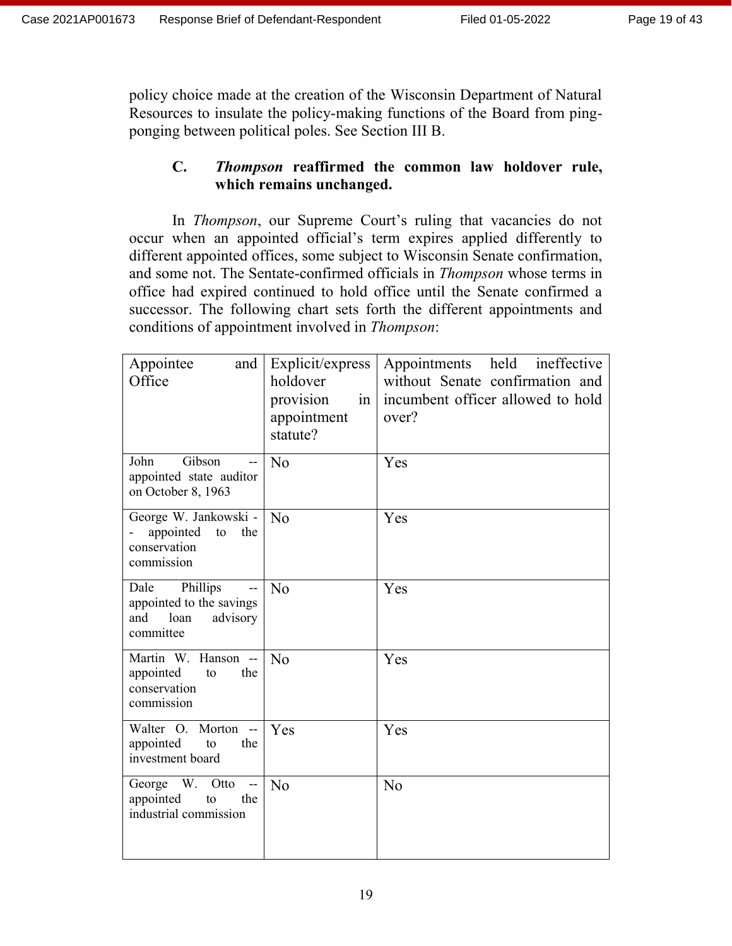policy choice made at the creation of the Wisconsin Department of Natural Resources to insulate the policy-making functions of the Board from pingponging between political poles. See Section III B.

# **C.** *Thompson* **reaffirmed the common law holdover rule, which remains unchanged.**

In *Thompson*, our Supreme Court's ruling that vacancies do not occur when an appointed official's term expires applied differently to different appointed offices, some subject to Wisconsin Senate confirmation, and some not. The Sentate-confirmed officials in *Thompson* whose terms in office had expired continued to hold office until the Senate confirmed a successor. The following chart sets forth the different appointments and conditions of appointment involved in *Thompson*:

| Appointee<br>and<br>Office                                                         | Explicit/express<br>holdover<br>provision<br>in<br>appointment<br>statute? | Appointments held ineffective<br>without Senate confirmation and<br>incumbent officer allowed to hold<br>over? |
|------------------------------------------------------------------------------------|----------------------------------------------------------------------------|----------------------------------------------------------------------------------------------------------------|
| John<br>Gibson<br>appointed state auditor<br>on October 8, 1963                    | N <sub>o</sub>                                                             | Yes                                                                                                            |
| George W. Jankowski -<br>appointed to the<br>conservation<br>commission            | $\overline{N}$                                                             | Yes                                                                                                            |
| Dale Phillips<br>appointed to the savings<br>and<br>advisory<br>loan<br>committee  | N <sub>o</sub>                                                             | Yes                                                                                                            |
| Martin W. Hanson --<br>appointed<br>the<br>to<br>conservation<br>commission        | N <sub>o</sub>                                                             | Yes                                                                                                            |
| Walter O. Morton --<br>appointed<br>to<br>the<br>investment board                  | Yes                                                                        | Yes                                                                                                            |
| W. Otto<br>George<br>$\sim$ $-$<br>appointed<br>the<br>to<br>industrial commission | N <sub>o</sub>                                                             | N <sub>o</sub>                                                                                                 |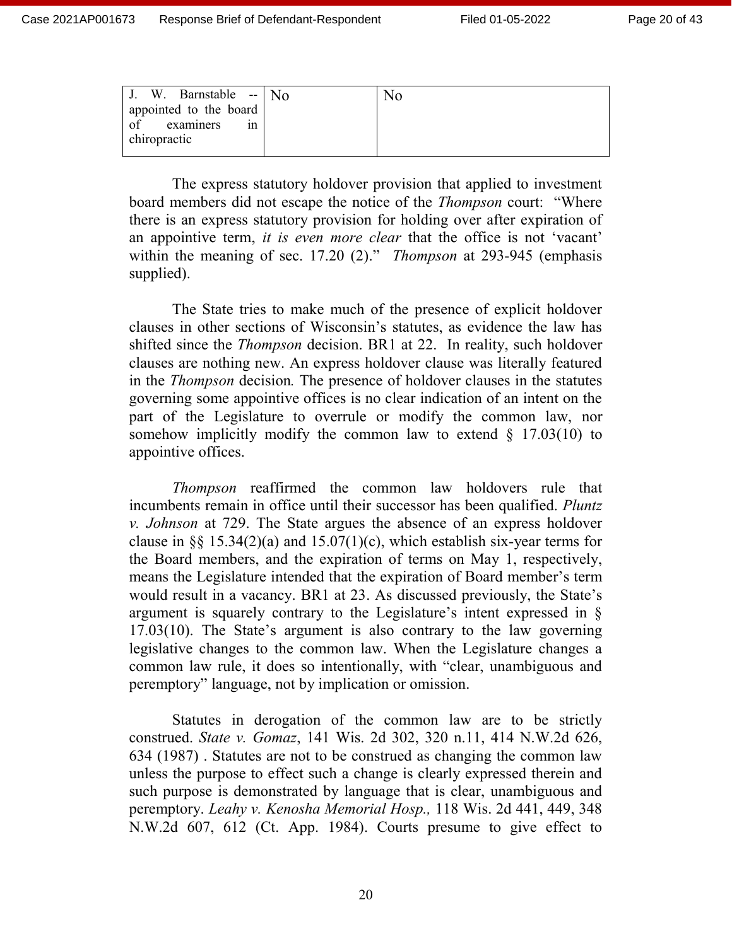| J. W. Barnstable -- $N_0$ | $\overline{N}$ |
|---------------------------|----------------|
| appointed to the board    |                |
| of examiners<br>1n        |                |
| chiropractic              |                |
|                           |                |

The express statutory holdover provision that applied to investment board members did not escape the notice of the *Thompson* court: "Where there is an express statutory provision for holding over after expiration of an appointive term, *it is even more clear* that the office is not 'vacant' within the meaning of sec. 17.20 (2)." *Thompson* at 293-945 (emphasis supplied).

The State tries to make much of the presence of explicit holdover clauses in other sections of Wisconsin's statutes, as evidence the law has shifted since the *Thompson* decision. BR1 at 22. In reality, such holdover clauses are nothing new. An express holdover clause was literally featured in the *Thompson* decision*.* The presence of holdover clauses in the statutes governing some appointive offices is no clear indication of an intent on the part of the Legislature to overrule or modify the common law, nor somehow implicitly modify the common law to extend  $\S$  17.03(10) to appointive offices.

*Thompson* reaffirmed the common law holdovers rule that incumbents remain in office until their successor has been qualified. *Pluntz v. Johnson* at 729. The State argues the absence of an express holdover clause in §§ 15.34(2)(a) and 15.07(1)(c), which establish six-year terms for the Board members, and the expiration of terms on May 1, respectively, means the Legislature intended that the expiration of Board member's term would result in a vacancy. BR1 at 23. As discussed previously, the State's argument is squarely contrary to the Legislature's intent expressed in § 17.03(10). The State's argument is also contrary to the law governing legislative changes to the common law. When the Legislature changes a common law rule, it does so intentionally, with "clear, unambiguous and peremptory" language, not by implication or omission.

Statutes in derogation of the common law are to be strictly construed. *State v. Gomaz*, 141 Wis. 2d 302, 320 n.11, 414 N.W.2d 626, 634 (1987) . Statutes are not to be construed as changing the common law unless the purpose to effect such a change is clearly expressed therein and such purpose is demonstrated by language that is clear, unambiguous and peremptory. *Leahy v. Kenosha Memorial Hosp.,* 118 Wis. 2d 441, 449, 348 N.W.2d 607, 612 (Ct. App. 1984). Courts presume to give effect to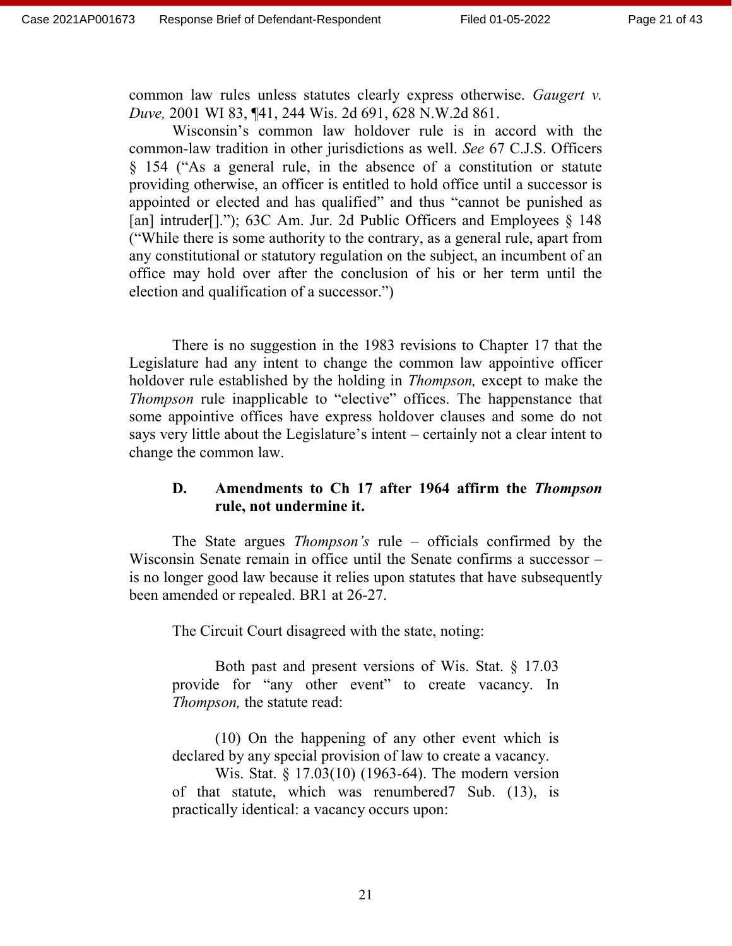common law rules unless statutes clearly express otherwise. *Gaugert v. Duve,* 2001 WI 83, ¶41, 244 Wis. 2d 691, 628 N.W.2d 861.

Wisconsin's common law holdover rule is in accord with the common-law tradition in other jurisdictions as well. *See* 67 C.J.S. Officers § 154 ("As a general rule, in the absence of a constitution or statute providing otherwise, an officer is entitled to hold office until a successor is appointed or elected and has qualified" and thus "cannot be punished as [an] intruder[]."); 63C Am. Jur. 2d Public Officers and Employees § 148 ("While there is some authority to the contrary, as a general rule, apart from any constitutional or statutory regulation on the subject, an incumbent of an office may hold over after the conclusion of his or her term until the election and qualification of a successor.")

There is no suggestion in the 1983 revisions to Chapter 17 that the Legislature had any intent to change the common law appointive officer holdover rule established by the holding in *Thompson,* except to make the *Thompson* rule inapplicable to "elective" offices. The happenstance that some appointive offices have express holdover clauses and some do not says very little about the Legislature's intent – certainly not a clear intent to change the common law.

## **D. Amendments to Ch 17 after 1964 affirm the** *Thompson* **rule, not undermine it.**

The State argues *Thompson's* rule – officials confirmed by the Wisconsin Senate remain in office until the Senate confirms a successor – is no longer good law because it relies upon statutes that have subsequently been amended or repealed. BR1 at 26-27.

The Circuit Court disagreed with the state, noting:

Both past and present versions of Wis. Stat. § 17.03 provide for "any other event" to create vacancy. In *Thompson,* the statute read:

(10) On the happening of any other event which is declared by any special provision of law to create a vacancy.

Wis. Stat. § 17.03(10) (1963-64). The modern version of that statute, which was renumbered7 Sub. (13), is practically identical: a vacancy occurs upon: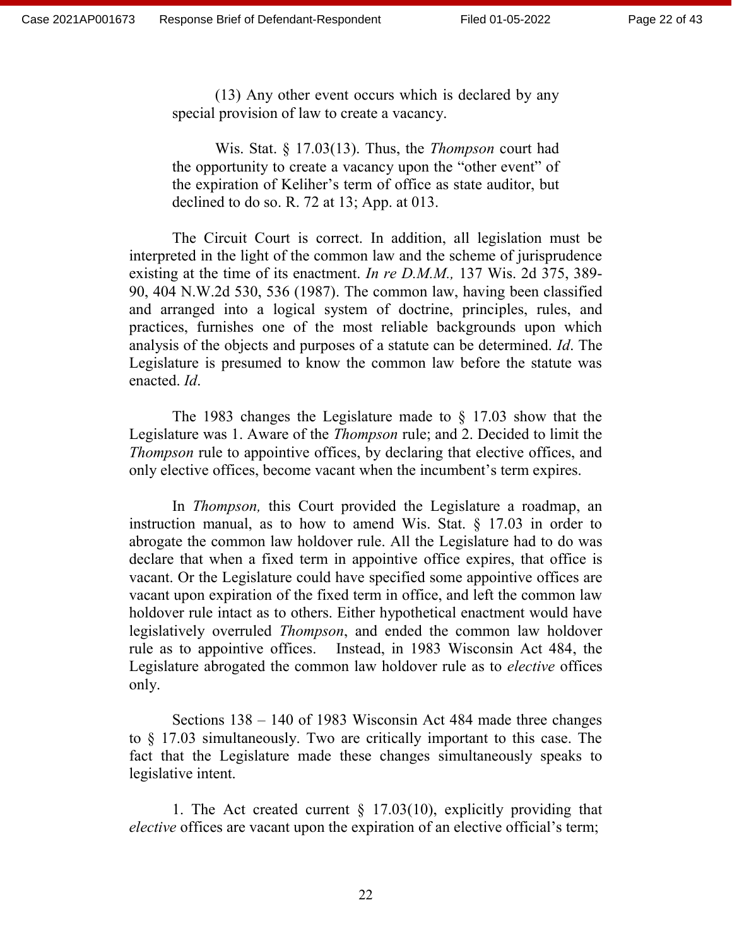(13) Any other event occurs which is declared by any special provision of law to create a vacancy.

Wis. Stat. § 17.03(13). Thus, the *Thompson* court had the opportunity to create a vacancy upon the "other event" of the expiration of Keliher's term of office as state auditor, but declined to do so. R. 72 at 13; App. at 013.

The Circuit Court is correct. In addition, all legislation must be interpreted in the light of the common law and the scheme of jurisprudence existing at the time of its enactment. *In re D.M.M.,* 137 Wis. 2d 375, 389- 90, 404 N.W.2d 530, 536 (1987). The common law, having been classified and arranged into a logical system of doctrine, principles, rules, and practices, furnishes one of the most reliable backgrounds upon which analysis of the objects and purposes of a statute can be determined. *Id*. The Legislature is presumed to know the common law before the statute was enacted. *Id*.

The 1983 changes the Legislature made to § 17.03 show that the Legislature was 1. Aware of the *Thompson* rule; and 2. Decided to limit the *Thompson* rule to appointive offices, by declaring that elective offices, and only elective offices, become vacant when the incumbent's term expires.

In *Thompson,* this Court provided the Legislature a roadmap, an instruction manual, as to how to amend Wis. Stat. § 17.03 in order to abrogate the common law holdover rule. All the Legislature had to do was declare that when a fixed term in appointive office expires, that office is vacant. Or the Legislature could have specified some appointive offices are vacant upon expiration of the fixed term in office, and left the common law holdover rule intact as to others. Either hypothetical enactment would have legislatively overruled *Thompson*, and ended the common law holdover rule as to appointive offices. Instead, in 1983 Wisconsin Act 484, the Legislature abrogated the common law holdover rule as to *elective* offices only.

Sections 138 – 140 of 1983 Wisconsin Act 484 made three changes to § 17.03 simultaneously. Two are critically important to this case. The fact that the Legislature made these changes simultaneously speaks to legislative intent.

1. The Act created current  $\S$  17.03(10), explicitly providing that *elective* offices are vacant upon the expiration of an elective official's term;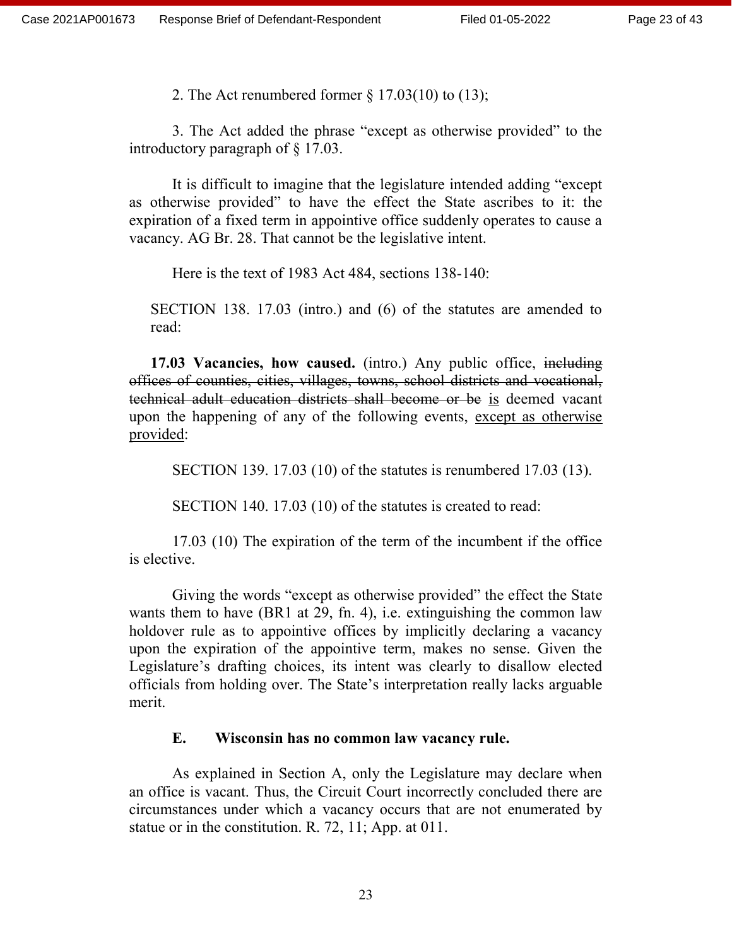2. The Act renumbered former § 17.03(10) to (13);

3. The Act added the phrase "except as otherwise provided" to the introductory paragraph of § 17.03.

It is difficult to imagine that the legislature intended adding "except as otherwise provided" to have the effect the State ascribes to it: the expiration of a fixed term in appointive office suddenly operates to cause a vacancy. AG Br. 28. That cannot be the legislative intent.

Here is the text of 1983 Act 484, sections 138-140:

SECTION 138. 17.03 (intro.) and (6) of the statutes are amended to read:

**17.03 Vacancies, how caused.** (intro.) Any public office, including offices of counties, cities, villages, towns, school districts and vocational, technical adult education districts shall become or be is deemed vacant upon the happening of any of the following events, except as otherwise provided:

SECTION 139. 17.03 (10) of the statutes is renumbered 17.03 (13).

SECTION 140. 17.03 (10) of the statutes is created to read:

17.03 (10) The expiration of the term of the incumbent if the office is elective.

Giving the words "except as otherwise provided" the effect the State wants them to have (BR1 at 29, fn. 4), i.e. extinguishing the common law holdover rule as to appointive offices by implicitly declaring a vacancy upon the expiration of the appointive term, makes no sense. Given the Legislature's drafting choices, its intent was clearly to disallow elected officials from holding over. The State's interpretation really lacks arguable merit.

## **E. Wisconsin has no common law vacancy rule.**

As explained in Section A, only the Legislature may declare when an office is vacant. Thus, the Circuit Court incorrectly concluded there are circumstances under which a vacancy occurs that are not enumerated by statue or in the constitution. R. 72, 11; App. at 011.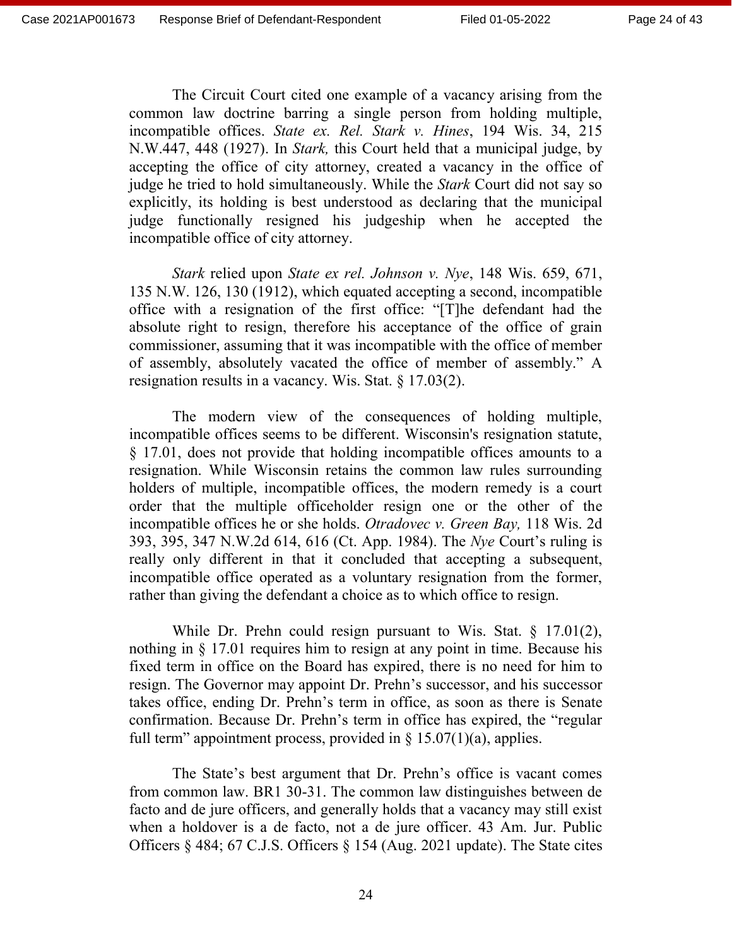The Circuit Court cited one example of a vacancy arising from the common law doctrine barring a single person from holding multiple, incompatible offices. *State ex. Rel. Stark v. Hines*, 194 Wis. 34, 215 N.W.447, 448 (1927). In *Stark,* this Court held that a municipal judge, by accepting the office of city attorney, created a vacancy in the office of judge he tried to hold simultaneously. While the *Stark* Court did not say so explicitly, its holding is best understood as declaring that the municipal judge functionally resigned his judgeship when he accepted the incompatible office of city attorney.

*Stark* relied upon *State ex rel. Johnson v. Nye*, 148 Wis. 659, 671, 135 N.W. 126, 130 (1912), which equated accepting a second, incompatible office with a resignation of the first office: "[T]he defendant had the absolute right to resign, therefore his acceptance of the office of grain commissioner, assuming that it was incompatible with the office of member of assembly, absolutely vacated the office of member of assembly." A resignation results in a vacancy. Wis. Stat. § 17.03(2).

The modern view of the consequences of holding multiple, incompatible offices seems to be different. Wisconsin's resignation statute, § 17.01, does not provide that holding incompatible offices amounts to a resignation. While Wisconsin retains the common law rules surrounding holders of multiple, incompatible offices, the modern remedy is a court order that the multiple officeholder resign one or the other of the incompatible offices he or she holds. *Otradovec v. Green Bay,* 118 Wis. 2d 393, 395, 347 N.W.2d 614, 616 (Ct. App. 1984). The *Nye* Court's ruling is really only different in that it concluded that accepting a subsequent, incompatible office operated as a voluntary resignation from the former, rather than giving the defendant a choice as to which office to resign.

While Dr. Prehn could resign pursuant to Wis. Stat. § 17.01(2), nothing in § 17.01 requires him to resign at any point in time. Because his fixed term in office on the Board has expired, there is no need for him to resign. The Governor may appoint Dr. Prehn's successor, and his successor takes office, ending Dr. Prehn's term in office, as soon as there is Senate confirmation. Because Dr. Prehn's term in office has expired, the "regular full term" appointment process, provided in  $\S 15.07(1)(a)$ , applies.

The State's best argument that Dr. Prehn's office is vacant comes from common law. BR1 30-31. The common law distinguishes between de facto and de jure officers, and generally holds that a vacancy may still exist when a holdover is a de facto, not a de jure officer. 43 Am. Jur. Public Officers § 484; 67 C.J.S. Officers § 154 (Aug. 2021 update). The State cites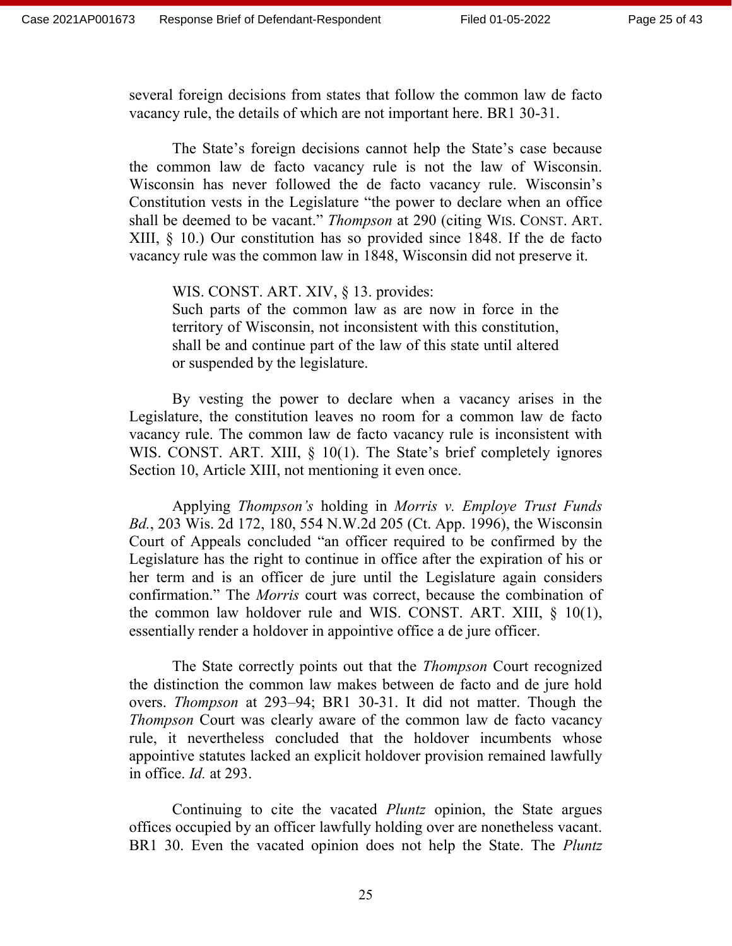several foreign decisions from states that follow the common law de facto vacancy rule, the details of which are not important here. BR1 30-31.

The State's foreign decisions cannot help the State's case because the common law de facto vacancy rule is not the law of Wisconsin. Wisconsin has never followed the de facto vacancy rule. Wisconsin's Constitution vests in the Legislature "the power to declare when an office shall be deemed to be vacant." *Thompson* at 290 (citing WIS. CONST. ART. XIII, § 10.) Our constitution has so provided since 1848. If the de facto vacancy rule was the common law in 1848, Wisconsin did not preserve it.

WIS. CONST. ART. XIV, § 13. provides: Such parts of the common law as are now in force in the territory of Wisconsin, not inconsistent with this constitution, shall be and continue part of the law of this state until altered or suspended by the legislature.

By vesting the power to declare when a vacancy arises in the Legislature, the constitution leaves no room for a common law de facto vacancy rule. The common law de facto vacancy rule is inconsistent with WIS. CONST. ART. XIII, § 10(1). The State's brief completely ignores Section 10, Article XIII, not mentioning it even once.

Applying *Thompson's* holding in *Morris v. Employe Trust Funds Bd.*, 203 Wis. 2d 172, 180, 554 N.W.2d 205 (Ct. App. 1996), the Wisconsin Court of Appeals concluded "an officer required to be confirmed by the Legislature has the right to continue in office after the expiration of his or her term and is an officer de jure until the Legislature again considers confirmation." The *Morris* court was correct, because the combination of the common law holdover rule and WIS. CONST. ART. XIII,  $\S$  10(1), essentially render a holdover in appointive office a de jure officer.

The State correctly points out that the *Thompson* Court recognized the distinction the common law makes between de facto and de jure hold overs. *Thompson* at 293–94; BR1 30-31. It did not matter. Though the *Thompson* Court was clearly aware of the common law de facto vacancy rule, it nevertheless concluded that the holdover incumbents whose appointive statutes lacked an explicit holdover provision remained lawfully in office. *Id.* at 293.

Continuing to cite the vacated *Pluntz* opinion, the State argues offices occupied by an officer lawfully holding over are nonetheless vacant. BR1 30. Even the vacated opinion does not help the State. The *Pluntz*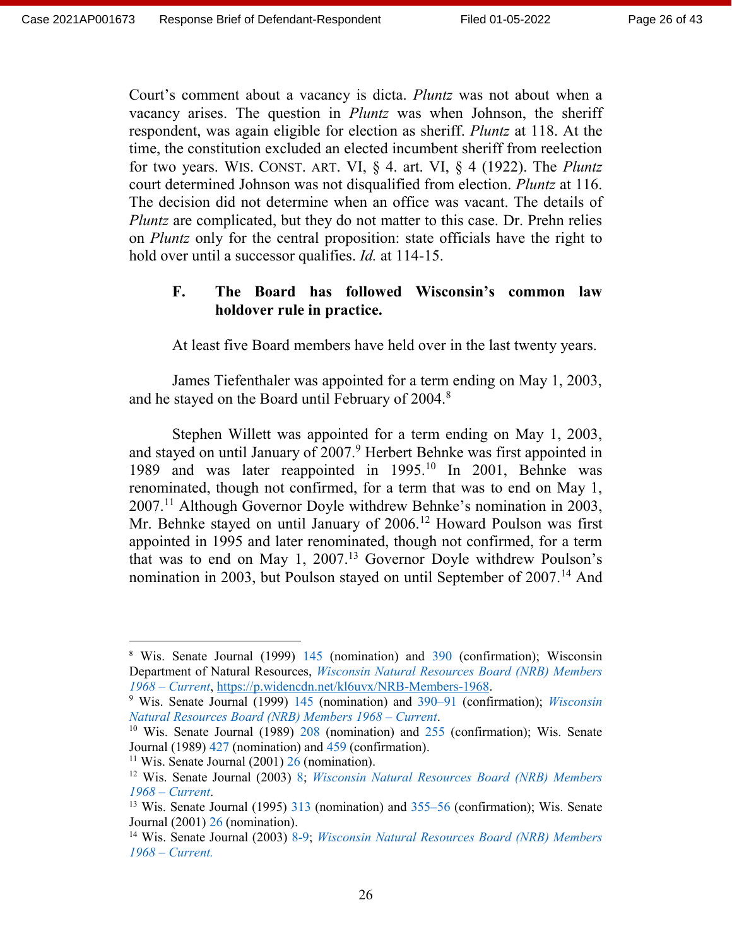Court's comment about a vacancy is dicta. *Pluntz* was not about when a vacancy arises. The question in *Pluntz* was when Johnson, the sheriff respondent, was again eligible for election as sheriff. *Pluntz* at 118. At the time, the constitution excluded an elected incumbent sheriff from reelection for two years. WIS. CONST. ART. VI, § 4. art. VI, § 4 (1922). The *Pluntz* court determined Johnson was not disqualified from election. *Pluntz* at 116. The decision did not determine when an office was vacant. The details of *Pluntz* are complicated, but they do not matter to this case. Dr. Prehn relies on *Pluntz* only for the central proposition: state officials have the right to hold over until a successor qualifies. *Id.* at 114-15.

#### **F. The Board has followed Wisconsin's common law holdover rule in practice.**

At least five Board members have held over in the last twenty years.

James Tiefenthaler was appointed for a term ending on May 1, 2003, and he stayed on the Board until February of 2004.<sup>8</sup>

Stephen Willett was appointed for a term ending on May 1, 2003, and stayed on until January of 2007.<sup>9</sup> Herbert Behnke was first appointed in 1989 and was later reappointed in 1995.<sup>10</sup> In 2001, Behnke was renominated, though not confirmed, for a term that was to end on May 1,  $2007<sup>11</sup>$  Although Governor Doyle withdrew Behnke's nomination in 2003, Mr. Behnke stayed on until January of 2006.<sup>12</sup> Howard Poulson was first appointed in 1995 and later renominated, though not confirmed, for a term that was to end on May 1,  $2007<sup>13</sup>$  Governor Doyle withdrew Poulson's nomination in 2003, but Poulson stayed on until September of 2007.<sup>14</sup> And

<sup>11</sup> Wis. Senate Journal  $(2001)$   $26$  (nomination).

<sup>8</sup> Wis. Senate Journal (1999) 145 (nomination) and 390 (confirmation); Wisconsin Department of Natural Resources, *Wisconsin Natural Resources Board (NRB) Members 1968 – Current*, [https://p.widencdn.net/kl6uvx/NRB-Members-1968.](https://p.widencdn.net/kl6uvx/NRB-Members-1968)

<sup>9</sup> Wis. Senate Journal (1999) 145 (nomination) and 390–91 (confirmation); *Wisconsin Natural Resources Board (NRB) Members 1968 – Current*.

<sup>&</sup>lt;sup>10</sup> Wis. Senate Journal (1989) 208 (nomination) and 255 (confirmation); Wis. Senate Journal (1989) 427 (nomination) and 459 (confirmation).

<sup>12</sup> Wis. Senate Journal (2003) 8; *Wisconsin Natural Resources Board (NRB) Members 1968 – Current*.

<sup>13</sup> Wis. Senate Journal (1995) 313 (nomination) and 355–56 (confirmation); Wis. Senate Journal (2001) 26 (nomination).

<sup>14</sup> Wis. Senate Journal (2003) 8-9; *Wisconsin Natural Resources Board (NRB) Members 1968 – Current.*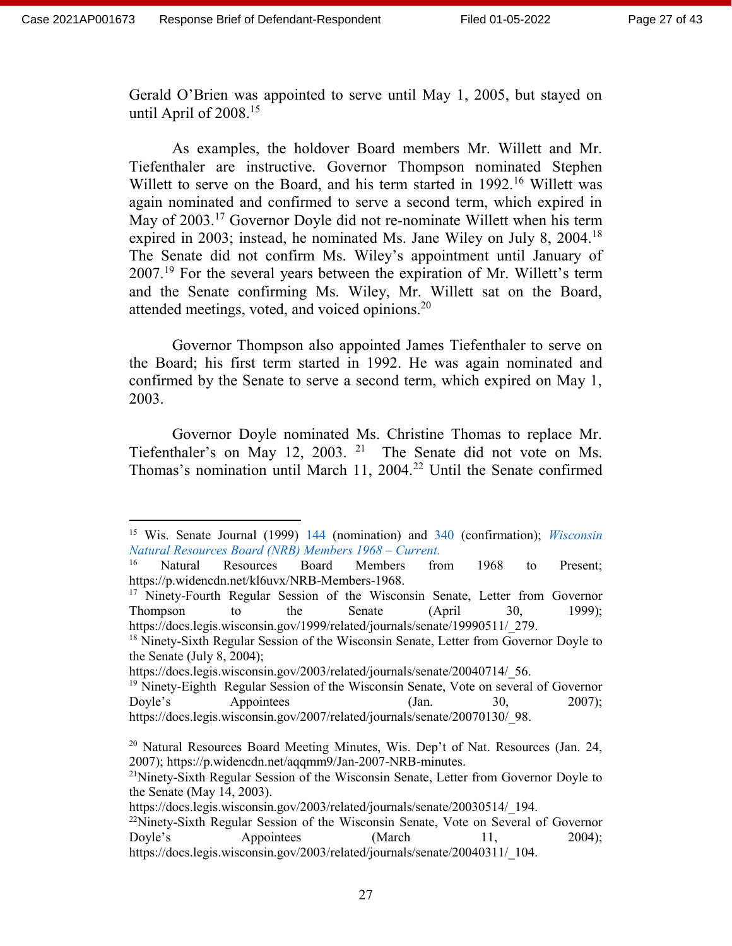$\overline{a}$ 

Gerald O'Brien was appointed to serve until May 1, 2005, but stayed on until April of  $2008.<sup>15</sup>$ 

As examples, the holdover Board members Mr. Willett and Mr. Tiefenthaler are instructive. Governor Thompson nominated Stephen Willett to serve on the Board, and his term started in 1992.<sup>16</sup> Willett was again nominated and confirmed to serve a second term, which expired in May of 2003.<sup>17</sup> Governor Doyle did not re-nominate Willett when his term expired in 2003; instead, he nominated Ms. Jane Wiley on July 8, 2004.<sup>18</sup> The Senate did not confirm Ms. Wiley's appointment until January of  $2007<sup>19</sup>$  For the several years between the expiration of Mr. Willett's term and the Senate confirming Ms. Wiley, Mr. Willett sat on the Board, attended meetings, voted, and voiced opinions.<sup>20</sup>

Governor Thompson also appointed James Tiefenthaler to serve on the Board; his first term started in 1992. He was again nominated and confirmed by the Senate to serve a second term, which expired on May 1, 2003.

Governor Doyle nominated Ms. Christine Thomas to replace Mr. Tiefenthaler's on May 12, 2003. <sup>21</sup> The Senate did not vote on Ms. Thomas's nomination until March 11, 2004.<sup>22</sup> Until the Senate confirmed

<sup>18</sup> Ninety-Sixth Regular Session of the Wisconsin Senate, Letter from Governor Doyle to the Senate (July 8, 2004);

<sup>15</sup> Wis. Senate Journal (1999) 144 (nomination) and 340 (confirmation); *Wisconsin Natural Resources Board (NRB) Members 1968 – Current.*

<sup>16</sup> Natural Resources Board Members from 1968 to Present; https://p.widencdn.net/kl6uvx/NRB-Members-1968.

<sup>&</sup>lt;sup>17</sup> Ninety-Fourth Regular Session of the Wisconsin Senate, Letter from Governor Thompson to the Senate (April 30, 1999); https://docs.legis.wisconsin.gov/1999/related/journals/senate/19990511/279.

https://docs.legis.wisconsin.gov/2003/related/journals/senate/20040714/ 56.

<sup>&</sup>lt;sup>19</sup> Ninety-Eighth Regular Session of the Wisconsin Senate, Vote on several of Governor Doyle's Appointees (Jan. 30, 2007); https://docs.legis.wisconsin.gov/2007/related/journals/senate/20070130/ 98.

<sup>&</sup>lt;sup>20</sup> Natural Resources Board Meeting Minutes, Wis. Dep't of Nat. Resources (Jan. 24, 2007); https://p.widencdn.net/aqqmm9/Jan-2007-NRB-minutes.

<sup>&</sup>lt;sup>21</sup>Ninety-Sixth Regular Session of the Wisconsin Senate, Letter from Governor Doyle to the Senate (May 14, 2003).

https://docs.legis.wisconsin.gov/2003/related/journals/senate/20030514/\_194.

 $22$ Ninety-Sixth Regular Session of the Wisconsin Senate, Vote on Several of Governor Doyle's Appointees (March 11, 2004); https://docs.legis.wisconsin.gov/2003/related/journals/senate/20040311/\_104.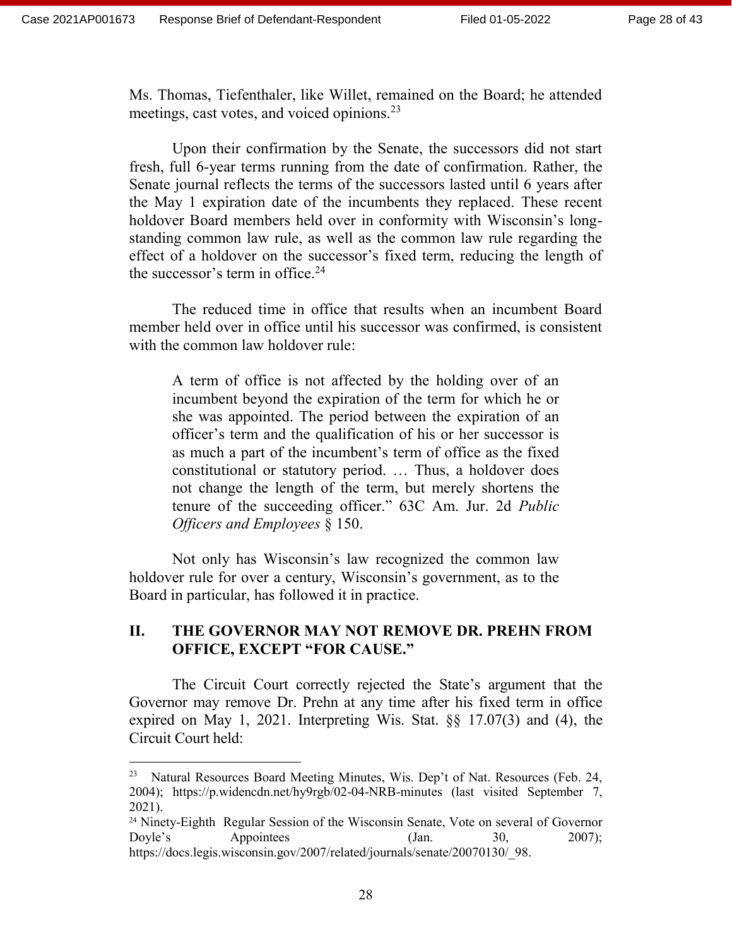$\overline{a}$ 

Ms. Thomas, Tiefenthaler, like Willet, remained on the Board; he attended meetings, cast votes, and voiced opinions.<sup>23</sup>

Upon their confirmation by the Senate, the successors did not start fresh, full 6-year terms running from the date of confirmation. Rather, the Senate journal reflects the terms of the successors lasted until 6 years after the May 1 expiration date of the incumbents they replaced. These recent holdover Board members held over in conformity with Wisconsin's longstanding common law rule, as well as the common law rule regarding the effect of a holdover on the successor's fixed term, reducing the length of the successor's term in office. $24$ 

The reduced time in office that results when an incumbent Board member held over in office until his successor was confirmed, is consistent with the common law holdover rule:

A term of office is not affected by the holding over of an incumbent beyond the expiration of the term for which he or she was appointed. The period between the expiration of an officer's term and the qualification of his or her successor is as much a part of the incumbent's term of office as the fixed constitutional or statutory period. … Thus, a holdover does not change the length of the term, but merely shortens the tenure of the succeeding officer." 63C Am. Jur. 2d *Public Officers and Employees* § 150.

Not only has Wisconsin's law recognized the common law holdover rule for over a century, Wisconsin's government, as to the Board in particular, has followed it in practice.

# **II. THE GOVERNOR MAY NOT REMOVE DR. PREHN FROM OFFICE, EXCEPT "FOR CAUSE."**

The Circuit Court correctly rejected the State's argument that the Governor may remove Dr. Prehn at any time after his fixed term in office expired on May 1, 2021. Interpreting Wis. Stat. §§ 17.07(3) and (4), the Circuit Court held:

<sup>&</sup>lt;sup>23</sup> Natural Resources Board Meeting Minutes, Wis. Dep't of Nat. Resources (Feb. 24, 2004); https://p.widencdn.net/hy9rgb/02-04-NRB-minutes (last visited September 7, 2021).

<sup>&</sup>lt;sup>24</sup> Ninety-Eighth Regular Session of the Wisconsin Senate, Vote on several of Governor Doyle's Appointees (Jan. 30, 2007); https://docs.legis.wisconsin.gov/2007/related/journals/senate/20070130/\_98.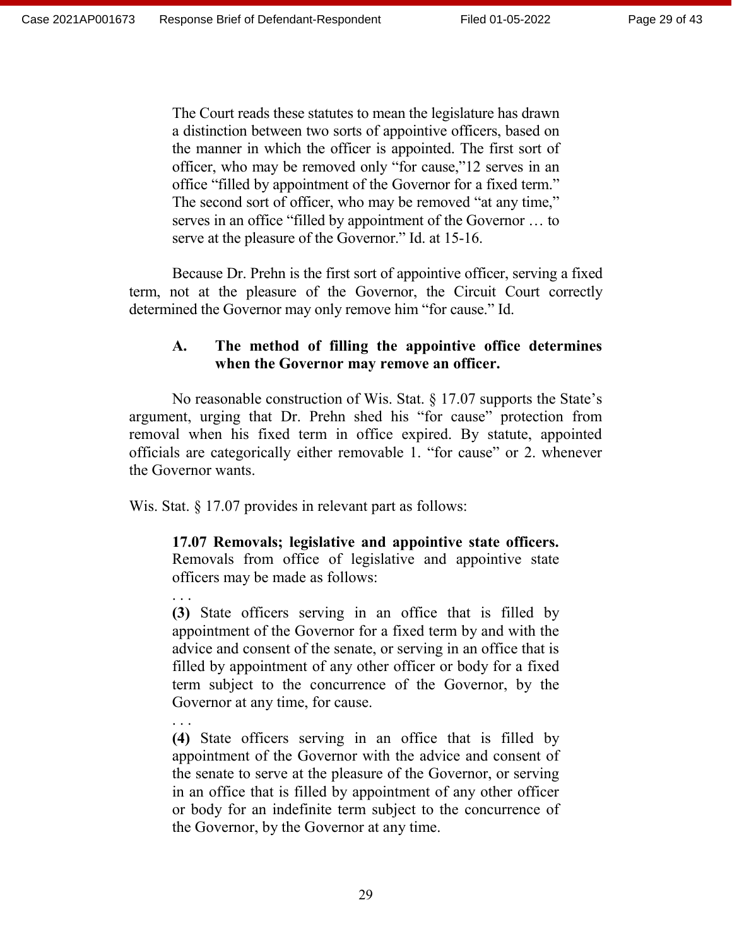. . .

. . .

The Court reads these statutes to mean the legislature has drawn a distinction between two sorts of appointive officers, based on the manner in which the officer is appointed. The first sort of officer, who may be removed only "for cause,"12 serves in an office "filled by appointment of the Governor for a fixed term." The second sort of officer, who may be removed "at any time," serves in an office "filled by appointment of the Governor … to serve at the pleasure of the Governor." Id. at 15-16.

Because Dr. Prehn is the first sort of appointive officer, serving a fixed term, not at the pleasure of the Governor, the Circuit Court correctly determined the Governor may only remove him "for cause." Id.

# **A. The method of filling the appointive office determines when the Governor may remove an officer.**

No reasonable construction of Wis. Stat. § 17.07 supports the State's argument, urging that Dr. Prehn shed his "for cause" protection from removal when his fixed term in office expired. By statute, appointed officials are categorically either removable 1. "for cause" or 2. whenever the Governor wants.

Wis. Stat. § 17.07 provides in relevant part as follows:

**17.07 Removals; legislative and appointive state officers.** Removals from office of legislative and appointive state officers may be made as follows:

**(3)** State officers serving in an office that is filled by appointment of the Governor for a fixed term by and with the advice and consent of the senate, or serving in an office that is filled by appointment of any other officer or body for a fixed term subject to the concurrence of the Governor, by the Governor at any time, for cause.

**(4)** State officers serving in an office that is filled by appointment of the Governor with the advice and consent of the senate to serve at the pleasure of the Governor, or serving in an office that is filled by appointment of any other officer or body for an indefinite term subject to the concurrence of the Governor, by the Governor at any time.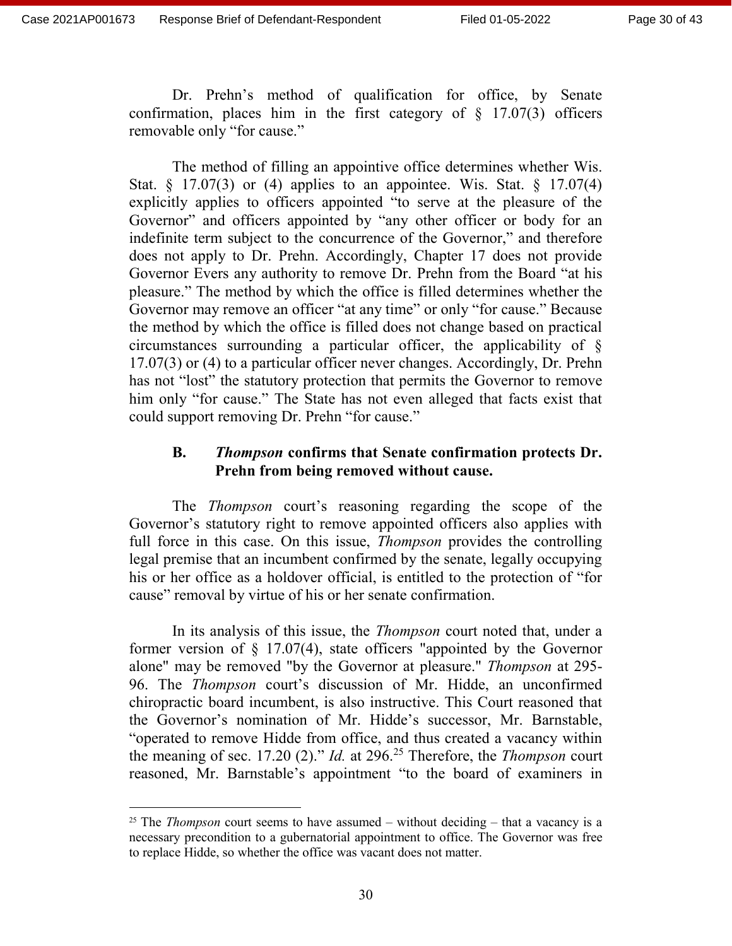$\overline{a}$ 

Dr. Prehn's method of qualification for office, by Senate confirmation, places him in the first category of  $\S$  17.07(3) officers removable only "for cause."

The method of filling an appointive office determines whether Wis. Stat.  $\S$  17.07(3) or (4) applies to an appointee. Wis. Stat.  $\S$  17.07(4) explicitly applies to officers appointed "to serve at the pleasure of the Governor" and officers appointed by "any other officer or body for an indefinite term subject to the concurrence of the Governor," and therefore does not apply to Dr. Prehn. Accordingly, Chapter 17 does not provide Governor Evers any authority to remove Dr. Prehn from the Board "at his pleasure." The method by which the office is filled determines whether the Governor may remove an officer "at any time" or only "for cause." Because the method by which the office is filled does not change based on practical circumstances surrounding a particular officer, the applicability of § 17.07(3) or (4) to a particular officer never changes. Accordingly, Dr. Prehn has not "lost" the statutory protection that permits the Governor to remove him only "for cause." The State has not even alleged that facts exist that could support removing Dr. Prehn "for cause."

## **B.** *Thompson* **confirms that Senate confirmation protects Dr. Prehn from being removed without cause.**

The *Thompson* court's reasoning regarding the scope of the Governor's statutory right to remove appointed officers also applies with full force in this case. On this issue, *Thompson* provides the controlling legal premise that an incumbent confirmed by the senate, legally occupying his or her office as a holdover official, is entitled to the protection of "for cause" removal by virtue of his or her senate confirmation.

In its analysis of this issue, the *Thompson* court noted that, under a former version of  $\S$  17.07(4), state officers "appointed by the Governor alone" may be removed "by the Governor at pleasure." *Thompson* at 295- 96. The *Thompson* court's discussion of Mr. Hidde, an unconfirmed chiropractic board incumbent, is also instructive. This Court reasoned that the Governor's nomination of Mr. Hidde's successor, Mr. Barnstable, "operated to remove Hidde from office, and thus created a vacancy within the meaning of sec. 17.20 (2)." *Id.* at 296.<sup>25</sup> Therefore, the *Thompson* court reasoned, Mr. Barnstable's appointment "to the board of examiners in

<sup>&</sup>lt;sup>25</sup> The *Thompson* court seems to have assumed – without deciding – that a vacancy is a necessary precondition to a gubernatorial appointment to office. The Governor was free to replace Hidde, so whether the office was vacant does not matter.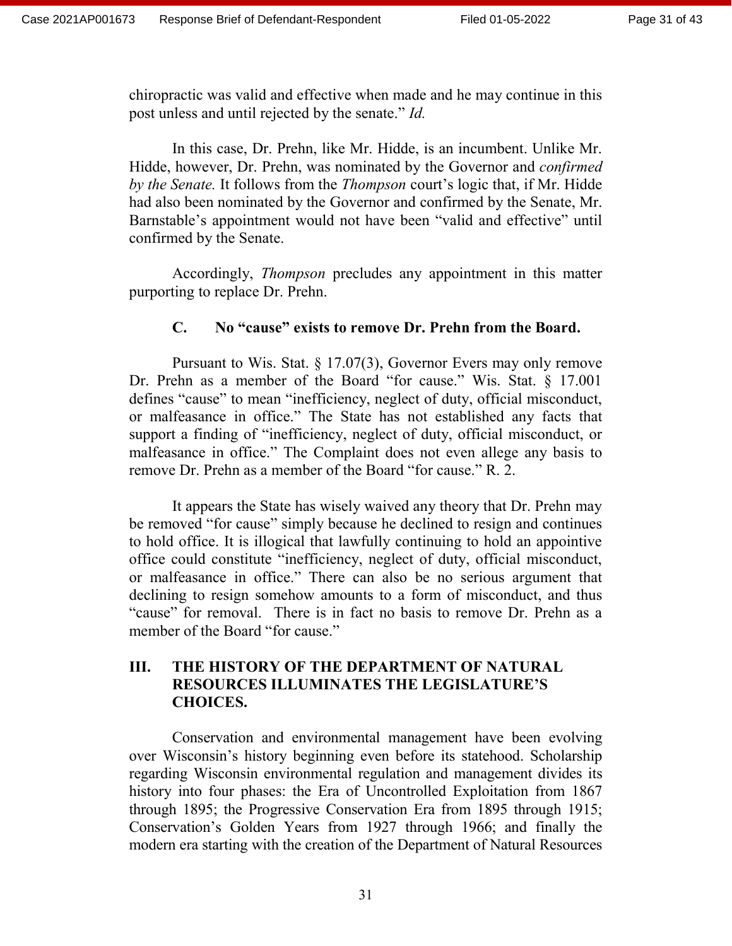chiropractic was valid and effective when made and he may continue in this post unless and until rejected by the senate." *Id.* 

In this case, Dr. Prehn, like Mr. Hidde, is an incumbent. Unlike Mr. Hidde, however, Dr. Prehn, was nominated by the Governor and *confirmed by the Senate.* It follows from the *Thompson* court's logic that, if Mr. Hidde had also been nominated by the Governor and confirmed by the Senate, Mr. Barnstable's appointment would not have been "valid and effective" until confirmed by the Senate.

Accordingly, *Thompson* precludes any appointment in this matter purporting to replace Dr. Prehn.

## **C. No "cause" exists to remove Dr. Prehn from the Board.**

Pursuant to Wis. Stat. § 17.07(3), Governor Evers may only remove Dr. Prehn as a member of the Board "for cause." Wis. Stat. § 17.001 defines "cause" to mean "inefficiency, neglect of duty, official misconduct, or malfeasance in office." The State has not established any facts that support a finding of "inefficiency, neglect of duty, official misconduct, or malfeasance in office." The Complaint does not even allege any basis to remove Dr. Prehn as a member of the Board "for cause." R. 2.

It appears the State has wisely waived any theory that Dr. Prehn may be removed "for cause" simply because he declined to resign and continues to hold office. It is illogical that lawfully continuing to hold an appointive office could constitute "inefficiency, neglect of duty, official misconduct, or malfeasance in office." There can also be no serious argument that declining to resign somehow amounts to a form of misconduct, and thus "cause" for removal. There is in fact no basis to remove Dr. Prehn as a member of the Board "for cause."

## **III. THE HISTORY OF THE DEPARTMENT OF NATURAL RESOURCES ILLUMINATES THE LEGISLATURE'S CHOICES.**

Conservation and environmental management have been evolving over Wisconsin's history beginning even before its statehood. Scholarship regarding Wisconsin environmental regulation and management divides its history into four phases: the Era of Uncontrolled Exploitation from 1867 through 1895; the Progressive Conservation Era from 1895 through 1915; Conservation's Golden Years from 1927 through 1966; and finally the modern era starting with the creation of the Department of Natural Resources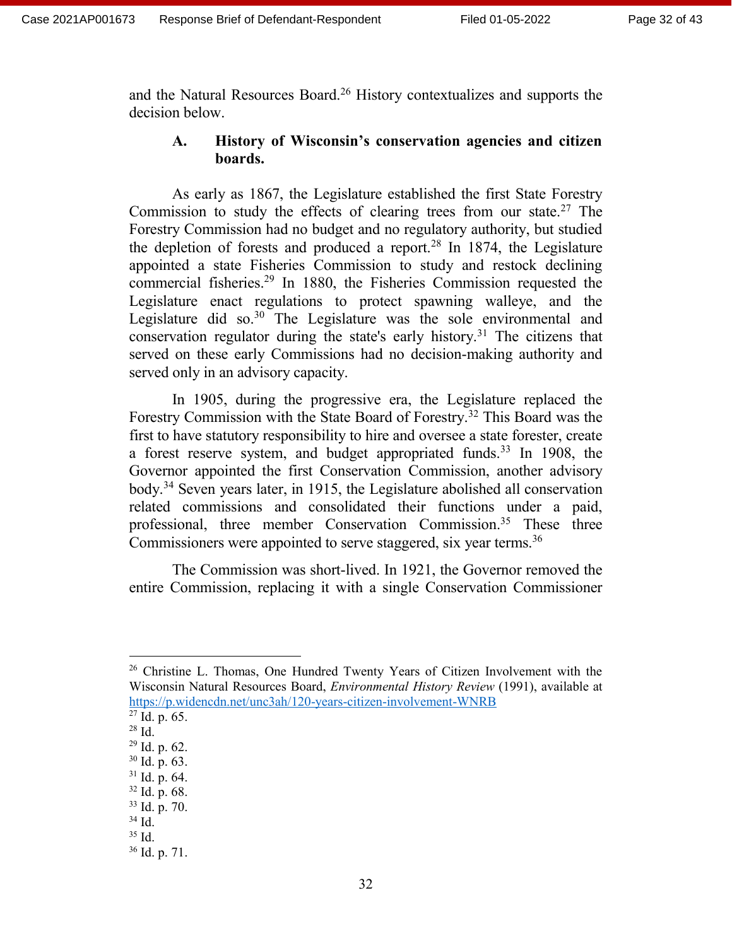and the Natural Resources Board.<sup>26</sup> History contextualizes and supports the decision below.

# **A. History of Wisconsin's conservation agencies and citizen boards.**

As early as 1867, the Legislature established the first State Forestry Commission to study the effects of clearing trees from our state.<sup>27</sup> The Forestry Commission had no budget and no regulatory authority, but studied the depletion of forests and produced a report.<sup>28</sup> In 1874, the Legislature appointed a state Fisheries Commission to study and restock declining commercial fisheries.<sup>29</sup> In 1880, the Fisheries Commission requested the Legislature enact regulations to protect spawning walleye, and the Legislature did so.<sup>30</sup> The Legislature was the sole environmental and conservation regulator during the state's early history.<sup>31</sup> The citizens that served on these early Commissions had no decision-making authority and served only in an advisory capacity.

In 1905, during the progressive era, the Legislature replaced the Forestry Commission with the State Board of Forestry.<sup>32</sup> This Board was the first to have statutory responsibility to hire and oversee a state forester, create a forest reserve system, and budget appropriated funds.<sup>33</sup> In 1908, the Governor appointed the first Conservation Commission, another advisory body.<sup>34</sup> Seven years later, in 1915, the Legislature abolished all conservation related commissions and consolidated their functions under a paid, professional, three member Conservation Commission.<sup>35</sup> These three Commissioners were appointed to serve staggered, six year terms.<sup>36</sup>

The Commission was short-lived. In 1921, the Governor removed the entire Commission, replacing it with a single Conservation Commissioner

<sup>&</sup>lt;sup>26</sup> Christine L. Thomas, One Hundred Twenty Years of Citizen Involvement with the Wisconsin Natural Resources Board, *Environmental History Review* (1991), available at <https://p.widencdn.net/unc3ah/120-years-citizen-involvement-WNRB>

 $27$  Id. p. 65.

<sup>28</sup> Id.

<sup>29</sup> Id. p. 62.

<sup>30</sup> Id. p. 63.

 $31$  Id. p. 64.

<sup>32</sup> Id. p. 68.

<sup>33</sup> Id. p. 70.

<sup>34</sup> Id.

 $35$  Id.

<sup>36</sup> Id. p. 71.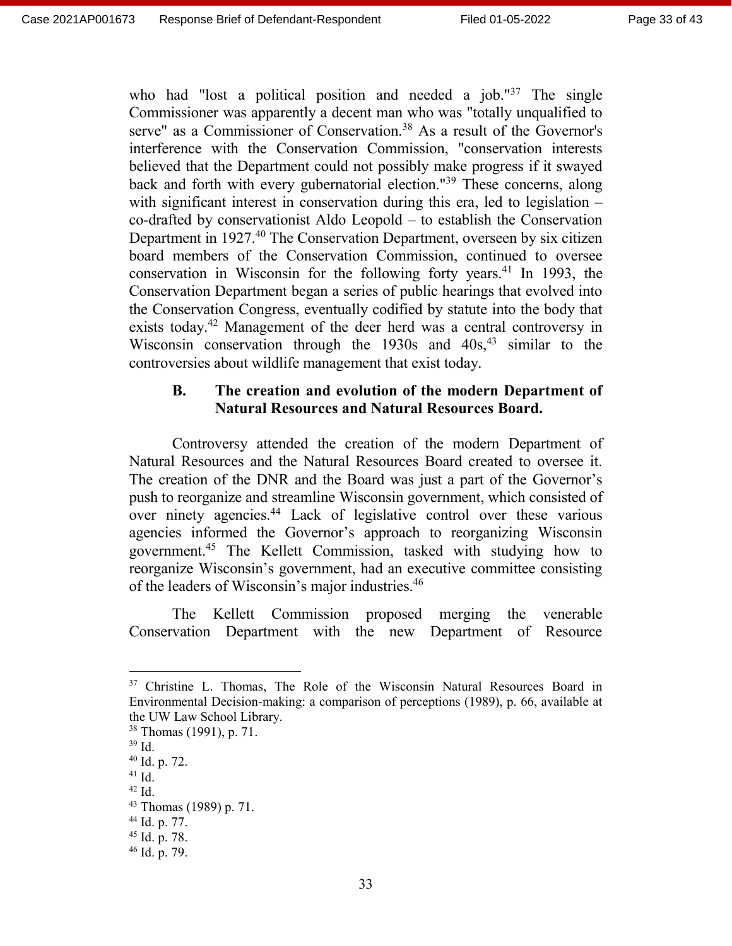who had "lost a political position and needed a job." $37$  The single Commissioner was apparently a decent man who was "totally unqualified to serve" as a Commissioner of Conservation.<sup>38</sup> As a result of the Governor's interference with the Conservation Commission, "conservation interests believed that the Department could not possibly make progress if it swayed back and forth with every gubernatorial election."<sup>39</sup> These concerns, along with significant interest in conservation during this era, led to legislation – co-drafted by conservationist Aldo Leopold – to establish the Conservation Department in 1927.<sup>40</sup> The Conservation Department, overseen by six citizen board members of the Conservation Commission, continued to oversee conservation in Wisconsin for the following forty years.<sup>41</sup> In 1993, the Conservation Department began a series of public hearings that evolved into the Conservation Congress, eventually codified by statute into the body that exists today.<sup>42</sup> Management of the deer herd was a central controversy in Wisconsin conservation through the  $1930s$  and  $40s<sub>1</sub><sup>43</sup>$  similar to the controversies about wildlife management that exist today.

## **B. The creation and evolution of the modern Department of Natural Resources and Natural Resources Board.**

Controversy attended the creation of the modern Department of Natural Resources and the Natural Resources Board created to oversee it. The creation of the DNR and the Board was just a part of the Governor's push to reorganize and streamline Wisconsin government, which consisted of over ninety agencies.<sup>44</sup> Lack of legislative control over these various agencies informed the Governor's approach to reorganizing Wisconsin government.<sup>45</sup> The Kellett Commission, tasked with studying how to reorganize Wisconsin's government, had an executive committee consisting of the leaders of Wisconsin's major industries.<sup>46</sup>

The Kellett Commission proposed merging the venerable Conservation Department with the new Department of Resource

 $\overline{a}$ 

<sup>&</sup>lt;sup>37</sup> Christine L. Thomas, The Role of the Wisconsin Natural Resources Board in Environmental Decision-making: a comparison of perceptions (1989), p. 66, available at the UW Law School Library.

<sup>38</sup> Thomas (1991), p. 71.

<sup>39</sup> Id.

<sup>40</sup> Id. p. 72.

 $41$  Id.

 $42$  Id.

<sup>43</sup> Thomas (1989) p. 71.

<sup>44</sup> Id. p. 77.

<sup>45</sup> Id. p. 78.

<sup>46</sup> Id. p. 79.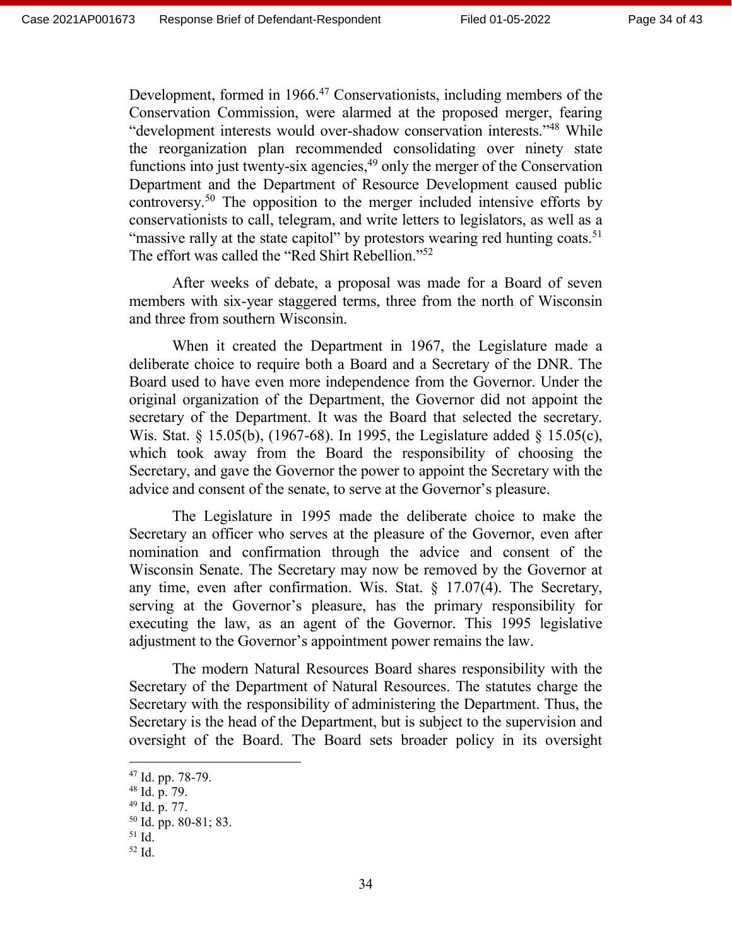Development, formed in 1966.<sup>47</sup> Conservationists, including members of the Conservation Commission, were alarmed at the proposed merger, fearing "development interests would over-shadow conservation interests."<sup>48</sup> While the reorganization plan recommended consolidating over ninety state functions into just twenty-six agencies, $49$  only the merger of the Conservation Department and the Department of Resource Development caused public controversy.<sup>50</sup> The opposition to the merger included intensive efforts by conservationists to call, telegram, and write letters to legislators, as well as a "massive rally at the state capitol" by protestors wearing red hunting coats.<sup>51</sup> The effort was called the "Red Shirt Rebellion."<sup>52</sup>

After weeks of debate, a proposal was made for a Board of seven members with six-year staggered terms, three from the north of Wisconsin and three from southern Wisconsin.

When it created the Department in 1967, the Legislature made a deliberate choice to require both a Board and a Secretary of the DNR. The Board used to have even more independence from the Governor. Under the original organization of the Department, the Governor did not appoint the secretary of the Department. It was the Board that selected the secretary. Wis. Stat. § 15.05(b), (1967-68). In 1995, the Legislature added § 15.05(c), which took away from the Board the responsibility of choosing the Secretary, and gave the Governor the power to appoint the Secretary with the advice and consent of the senate, to serve at the Governor's pleasure.

The Legislature in 1995 made the deliberate choice to make the Secretary an officer who serves at the pleasure of the Governor, even after nomination and confirmation through the advice and consent of the Wisconsin Senate. The Secretary may now be removed by the Governor at any time, even after confirmation. Wis. Stat. § 17.07(4). The Secretary, serving at the Governor's pleasure, has the primary responsibility for executing the law, as an agent of the Governor. This 1995 legislative adjustment to the Governor's appointment power remains the law.

The modern Natural Resources Board shares responsibility with the Secretary of the Department of Natural Resources. The statutes charge the Secretary with the responsibility of administering the Department. Thus, the Secretary is the head of the Department, but is subject to the supervision and oversight of the Board. The Board sets broader policy in its oversight

 $\overline{a}$ 

<sup>52</sup> Id.

 $47$  Id. pp. 78-79.

<sup>48</sup> Id. p. 79.

<sup>49</sup> Id. p. 77.

 $50$  Id. pp. 80-81; 83.

<sup>51</sup> Id.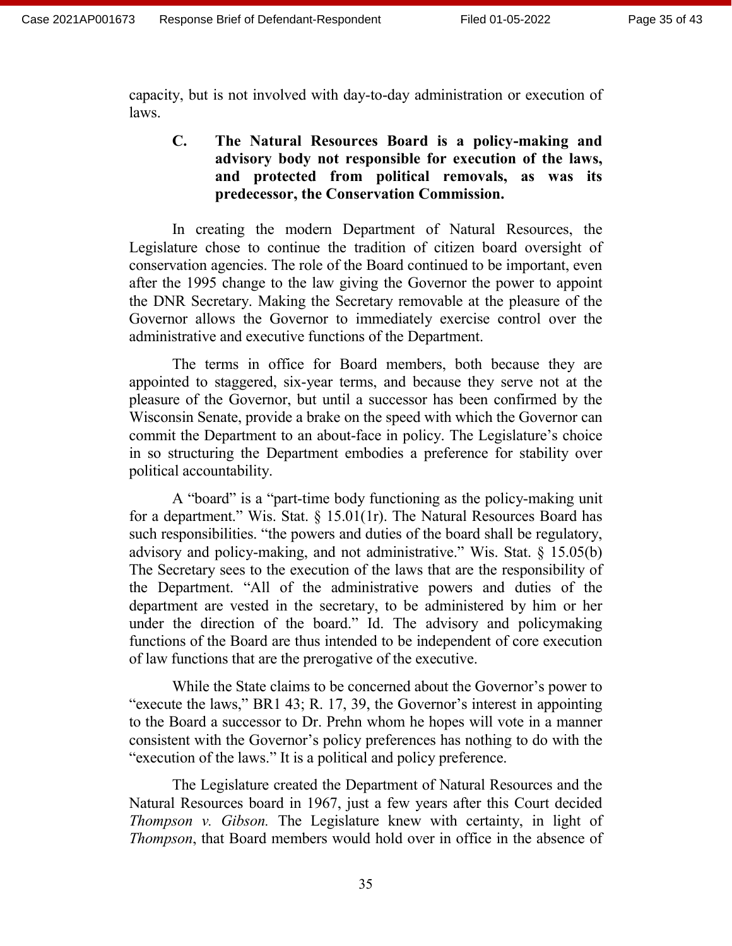capacity, but is not involved with day-to-day administration or execution of laws.

## **C. The Natural Resources Board is a policy-making and advisory body not responsible for execution of the laws, and protected from political removals, as was its predecessor, the Conservation Commission.**

In creating the modern Department of Natural Resources, the Legislature chose to continue the tradition of citizen board oversight of conservation agencies. The role of the Board continued to be important, even after the 1995 change to the law giving the Governor the power to appoint the DNR Secretary. Making the Secretary removable at the pleasure of the Governor allows the Governor to immediately exercise control over the administrative and executive functions of the Department.

The terms in office for Board members, both because they are appointed to staggered, six-year terms, and because they serve not at the pleasure of the Governor, but until a successor has been confirmed by the Wisconsin Senate, provide a brake on the speed with which the Governor can commit the Department to an about-face in policy. The Legislature's choice in so structuring the Department embodies a preference for stability over political accountability.

A "board" is a "part-time body functioning as the policy-making unit for a department." Wis. Stat.  $\S$  15.01(1r). The Natural Resources Board has such responsibilities. "the powers and duties of the board shall be regulatory, advisory and policy-making, and not administrative." Wis. Stat. § 15.05(b) The Secretary sees to the execution of the laws that are the responsibility of the Department. "All of the administrative powers and duties of the department are vested in the secretary, to be administered by him or her under the direction of the board." Id. The advisory and policymaking functions of the Board are thus intended to be independent of core execution of law functions that are the prerogative of the executive.

While the State claims to be concerned about the Governor's power to "execute the laws," BR1 43; R. 17, 39, the Governor's interest in appointing to the Board a successor to Dr. Prehn whom he hopes will vote in a manner consistent with the Governor's policy preferences has nothing to do with the "execution of the laws." It is a political and policy preference.

The Legislature created the Department of Natural Resources and the Natural Resources board in 1967, just a few years after this Court decided *Thompson v. Gibson.* The Legislature knew with certainty, in light of *Thompson*, that Board members would hold over in office in the absence of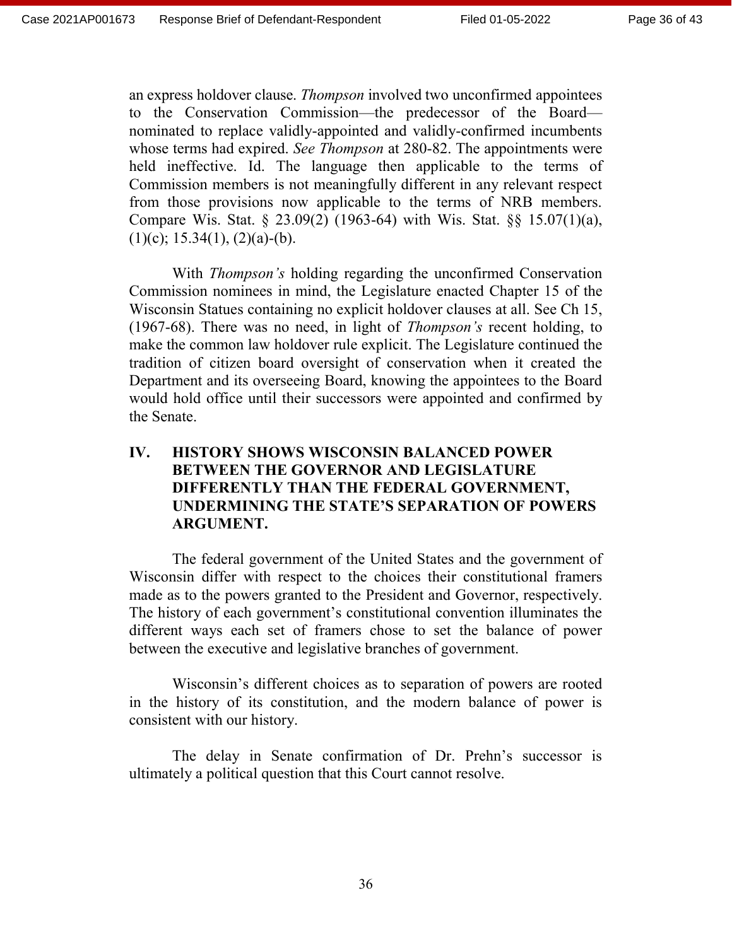an express holdover clause. *Thompson* involved two unconfirmed appointees to the Conservation Commission—the predecessor of the Board nominated to replace validly-appointed and validly-confirmed incumbents whose terms had expired. *See Thompson* at 280-82. The appointments were held ineffective. Id. The language then applicable to the terms of Commission members is not meaningfully different in any relevant respect from those provisions now applicable to the terms of NRB members. Compare Wis. Stat. § 23.09(2) (1963-64) with Wis. Stat. §§ 15.07(1)(a),  $(1)(c)$ ; 15.34(1), (2)(a)-(b).

With *Thompson's* holding regarding the unconfirmed Conservation Commission nominees in mind, the Legislature enacted Chapter 15 of the Wisconsin Statues containing no explicit holdover clauses at all. See Ch 15, (1967-68). There was no need, in light of *Thompson's* recent holding, to make the common law holdover rule explicit. The Legislature continued the tradition of citizen board oversight of conservation when it created the Department and its overseeing Board, knowing the appointees to the Board would hold office until their successors were appointed and confirmed by the Senate.

# **IV. HISTORY SHOWS WISCONSIN BALANCED POWER BETWEEN THE GOVERNOR AND LEGISLATURE DIFFERENTLY THAN THE FEDERAL GOVERNMENT, UNDERMINING THE STATE'S SEPARATION OF POWERS ARGUMENT.**

The federal government of the United States and the government of Wisconsin differ with respect to the choices their constitutional framers made as to the powers granted to the President and Governor, respectively. The history of each government's constitutional convention illuminates the different ways each set of framers chose to set the balance of power between the executive and legislative branches of government.

Wisconsin's different choices as to separation of powers are rooted in the history of its constitution, and the modern balance of power is consistent with our history.

The delay in Senate confirmation of Dr. Prehn's successor is ultimately a political question that this Court cannot resolve.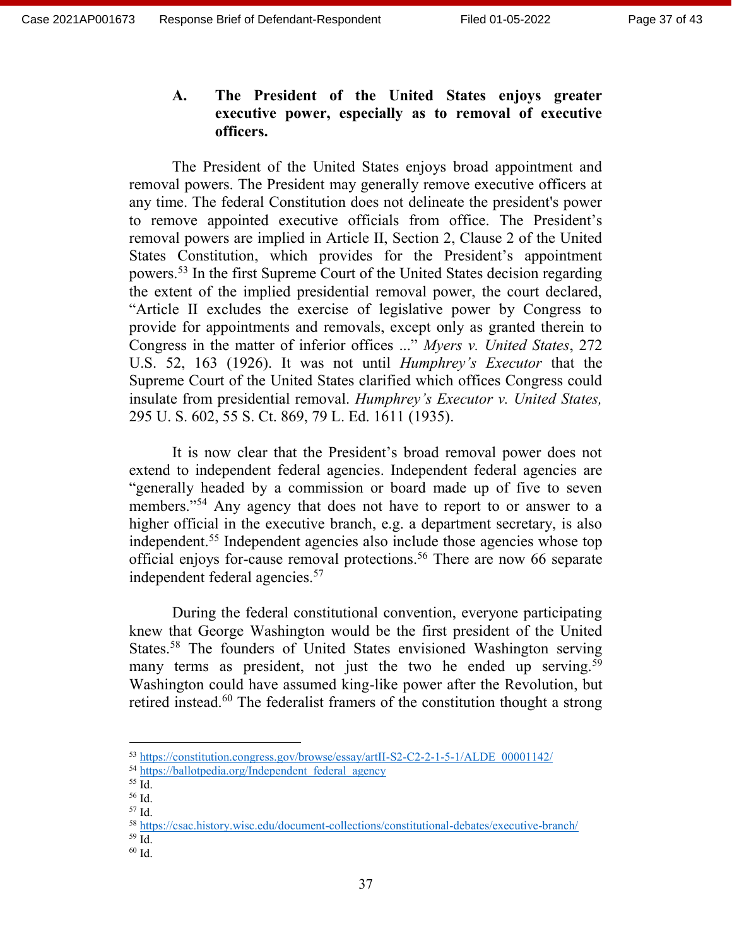## **A. The President of the United States enjoys greater executive power, especially as to removal of executive officers.**

The President of the United States enjoys broad appointment and removal powers. The President may generally remove executive officers at any time. The federal Constitution does not delineate the president's power to remove appointed executive officials from office. The President's removal powers are implied in Article II, Section 2, Clause 2 of the United States Constitution, which provides for the President's appointment powers.<sup>53</sup> In the first Supreme Court of the United States decision regarding the extent of the implied presidential removal power, the court declared, "Article II excludes the exercise of legislative power by Congress to provide for appointments and removals, except only as granted therein to Congress in the matter of inferior offices ..." *Myers v. United States*, 272 U.S. 52, 163 (1926). It was not until *Humphrey's Executor* that the Supreme Court of the United States clarified which offices Congress could insulate from presidential removal. *Humphrey's Executor v. United States,* 295 U. S. 602, 55 S. Ct. 869, 79 L. Ed. 1611 (1935).

It is now clear that the President's broad removal power does not extend to independent federal agencies. Independent federal agencies are "generally headed by a commission or board made up of five to seven members."<sup>54</sup> Any agency that does not have to report to or answer to a higher official in the executive branch, e.g. a department secretary, is also independent.<sup>55</sup> Independent agencies also include those agencies whose top official enjoys for-cause removal protections.<sup>56</sup> There are now 66 separate independent federal agencies.<sup>57</sup>

During the federal constitutional convention, everyone participating knew that George Washington would be the first president of the United States.<sup>58</sup> The founders of United States envisioned Washington serving many terms as president, not just the two he ended up serving.<sup>59</sup> Washington could have assumed king-like power after the Revolution, but retired instead.<sup>60</sup> The federalist framers of the constitution thought a strong

<sup>53</sup> [https://constitution.congress.gov/browse/essay/artII-S2-C2-2-1-5-1/ALDE\\_00001142/](https://constitution.congress.gov/browse/essay/artII-S2-C2-2-1-5-1/ALDE_00001142/)

<sup>54</sup> [https://ballotpedia.org/Independent\\_federal\\_agency](https://ballotpedia.org/Independent_federal_agency)

 $55$  Id.

<sup>56</sup> Id. <sup>57</sup> Id.

<sup>58</sup> <https://csac.history.wisc.edu/document-collections/constitutional-debates/executive-branch/>

<sup>59</sup> Id.

<sup>60</sup> Id.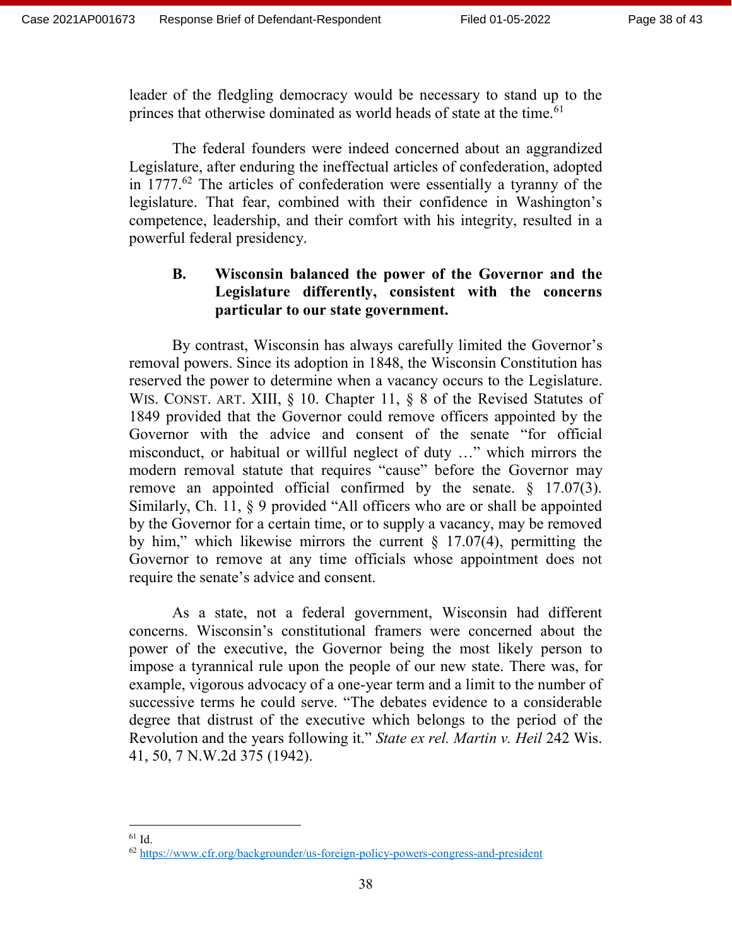leader of the fledgling democracy would be necessary to stand up to the princes that otherwise dominated as world heads of state at the time.<sup>61</sup>

The federal founders were indeed concerned about an aggrandized Legislature, after enduring the ineffectual articles of confederation, adopted in 1777.<sup>62</sup> The articles of confederation were essentially a tyranny of the legislature. That fear, combined with their confidence in Washington's competence, leadership, and their comfort with his integrity, resulted in a powerful federal presidency.

# **B. Wisconsin balanced the power of the Governor and the Legislature differently, consistent with the concerns particular to our state government.**

By contrast, Wisconsin has always carefully limited the Governor's removal powers. Since its adoption in 1848, the Wisconsin Constitution has reserved the power to determine when a vacancy occurs to the Legislature. WIS. CONST. ART. XIII, § 10. Chapter 11, § 8 of the Revised Statutes of 1849 provided that the Governor could remove officers appointed by the Governor with the advice and consent of the senate "for official misconduct, or habitual or willful neglect of duty …" which mirrors the modern removal statute that requires "cause" before the Governor may remove an appointed official confirmed by the senate.  $\S$  17.07(3). Similarly, Ch. 11, § 9 provided "All officers who are or shall be appointed by the Governor for a certain time, or to supply a vacancy, may be removed by him," which likewise mirrors the current  $\S$  17.07(4), permitting the Governor to remove at any time officials whose appointment does not require the senate's advice and consent.

As a state, not a federal government, Wisconsin had different concerns. Wisconsin's constitutional framers were concerned about the power of the executive, the Governor being the most likely person to impose a tyrannical rule upon the people of our new state. There was, for example, vigorous advocacy of a one-year term and a limit to the number of successive terms he could serve. "The debates evidence to a considerable degree that distrust of the executive which belongs to the period of the Revolution and the years following it." *State ex rel. Martin v. Heil* 242 Wis. 41, 50, 7 N.W.2d 375 (1942).

<sup>61</sup> Id.

<sup>62</sup> <https://www.cfr.org/backgrounder/us-foreign-policy-powers-congress-and-president>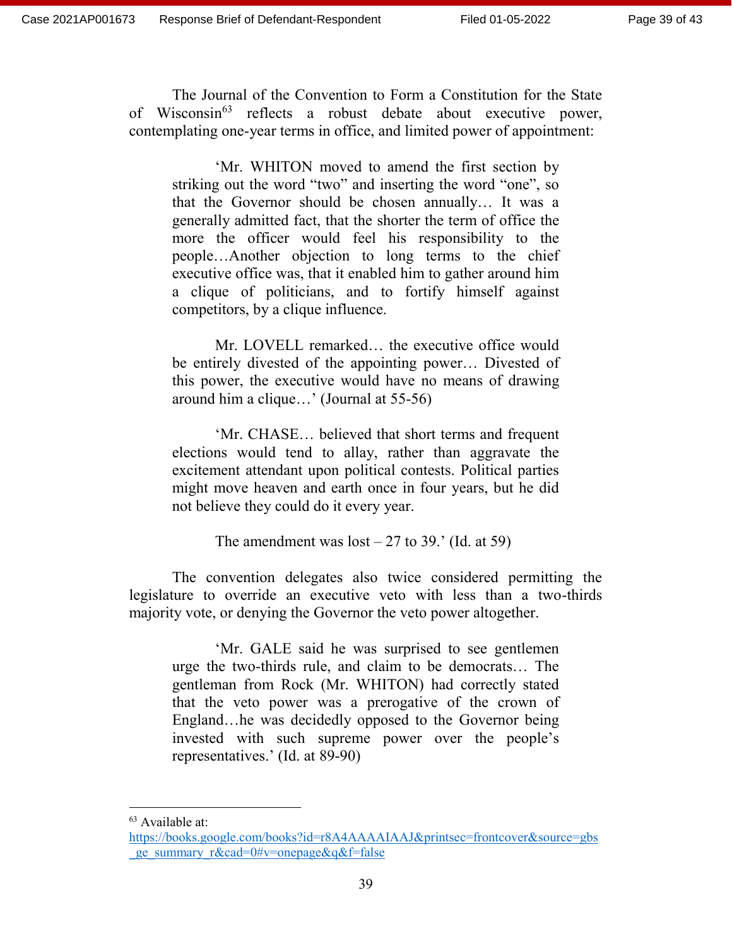The Journal of the Convention to Form a Constitution for the State of Wisconsin<sup>63</sup> reflects a robust debate about executive power, contemplating one-year terms in office, and limited power of appointment:

'Mr. WHITON moved to amend the first section by striking out the word "two" and inserting the word "one", so that the Governor should be chosen annually… It was a generally admitted fact, that the shorter the term of office the more the officer would feel his responsibility to the people…Another objection to long terms to the chief executive office was, that it enabled him to gather around him a clique of politicians, and to fortify himself against competitors, by a clique influence.

Mr. LOVELL remarked… the executive office would be entirely divested of the appointing power… Divested of this power, the executive would have no means of drawing around him a clique…' (Journal at 55-56)

'Mr. CHASE… believed that short terms and frequent elections would tend to allay, rather than aggravate the excitement attendant upon political contests. Political parties might move heaven and earth once in four years, but he did not believe they could do it every year.

The amendment was  $\text{lost} - 27$  to 39.' (Id. at 59)

The convention delegates also twice considered permitting the legislature to override an executive veto with less than a two-thirds majority vote, or denying the Governor the veto power altogether.

'Mr. GALE said he was surprised to see gentlemen urge the two-thirds rule, and claim to be democrats… The gentleman from Rock (Mr. WHITON) had correctly stated that the veto power was a prerogative of the crown of England…he was decidedly opposed to the Governor being invested with such supreme power over the people's representatives.' (Id. at 89-90)

 $\overline{a}$ 

<sup>&</sup>lt;sup>63</sup> Available at:

[https://books.google.com/books?id=r8A4AAAAIAAJ&printsec=frontcover&source=gbs](https://books.google.com/books?id=r8A4AAAAIAAJ&printsec=frontcover&source=gbs_ge_summary_r&cad=0#v=onepage&q&f=false) ge\_summary\_r&cad=0#v=onepage&q&f=false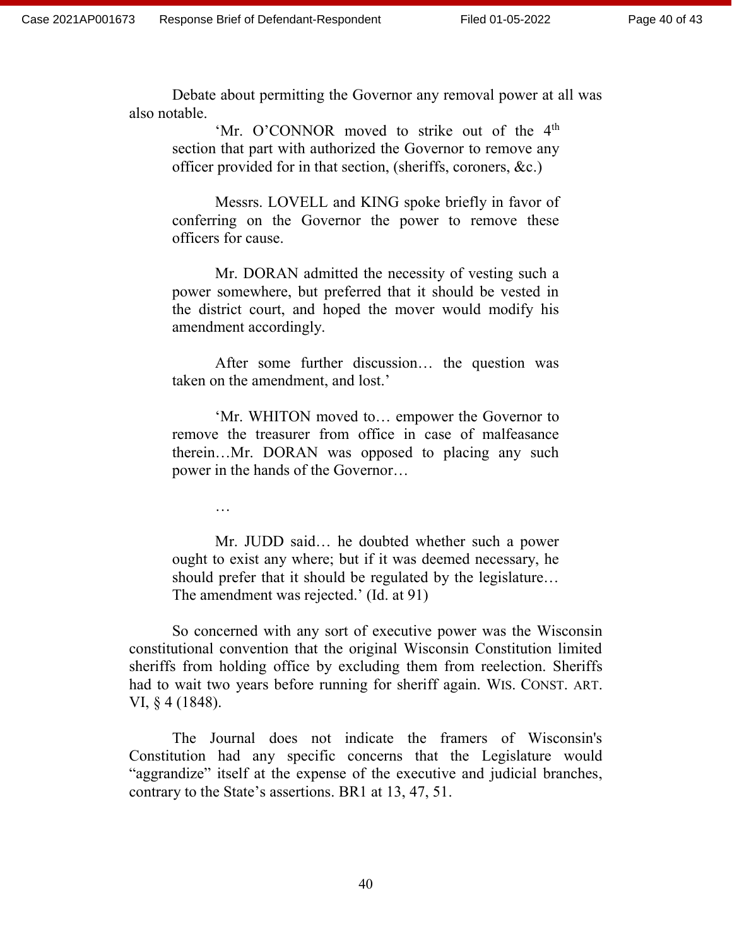Debate about permitting the Governor any removal power at all was also notable.

'Mr. O'CONNOR moved to strike out of the 4<sup>th</sup> section that part with authorized the Governor to remove any officer provided for in that section, (sheriffs, coroners, &c.)

Messrs. LOVELL and KING spoke briefly in favor of conferring on the Governor the power to remove these officers for cause.

Mr. DORAN admitted the necessity of vesting such a power somewhere, but preferred that it should be vested in the district court, and hoped the mover would modify his amendment accordingly.

After some further discussion… the question was taken on the amendment, and lost.'

'Mr. WHITON moved to… empower the Governor to remove the treasurer from office in case of malfeasance therein…Mr. DORAN was opposed to placing any such power in the hands of the Governor…

…

Mr. JUDD said… he doubted whether such a power ought to exist any where; but if it was deemed necessary, he should prefer that it should be regulated by the legislature… The amendment was rejected.' (Id. at 91)

So concerned with any sort of executive power was the Wisconsin constitutional convention that the original Wisconsin Constitution limited sheriffs from holding office by excluding them from reelection. Sheriffs had to wait two years before running for sheriff again. WIS. CONST. ART. VI, § 4 (1848).

The Journal does not indicate the framers of Wisconsin's Constitution had any specific concerns that the Legislature would "aggrandize" itself at the expense of the executive and judicial branches, contrary to the State's assertions. BR1 at 13, 47, 51.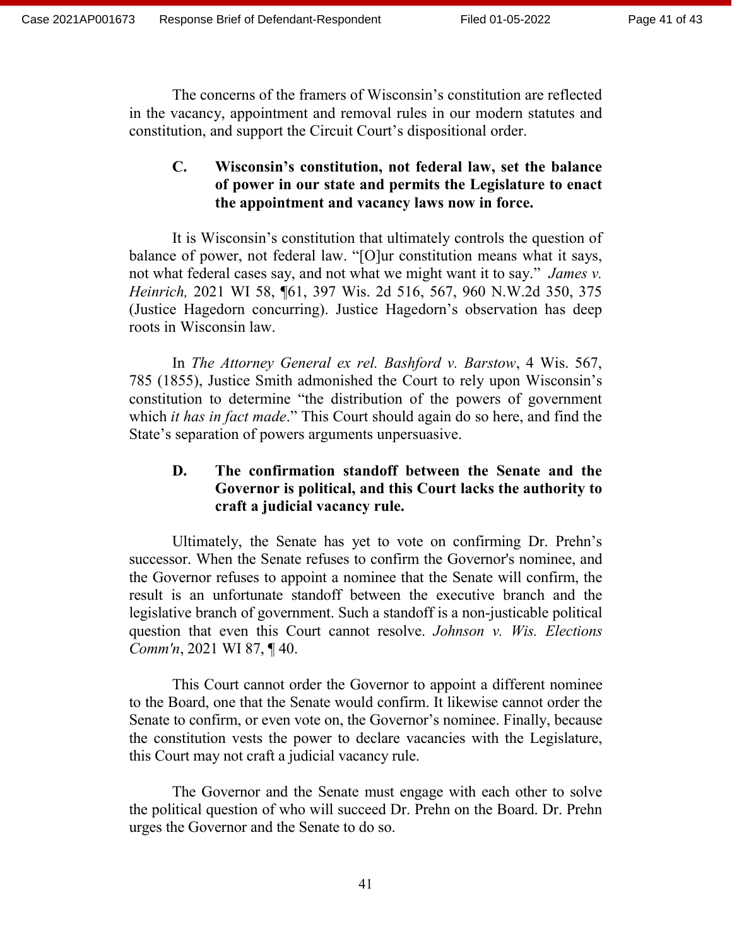The concerns of the framers of Wisconsin's constitution are reflected in the vacancy, appointment and removal rules in our modern statutes and constitution, and support the Circuit Court's dispositional order.

# **C. Wisconsin's constitution, not federal law, set the balance of power in our state and permits the Legislature to enact the appointment and vacancy laws now in force.**

It is Wisconsin's constitution that ultimately controls the question of balance of power, not federal law. "[O]ur constitution means what it says, not what federal cases say, and not what we might want it to say." *James v. Heinrich,* 2021 WI 58, ¶61, 397 Wis. 2d 516, 567, 960 N.W.2d 350, 375 (Justice Hagedorn concurring). Justice Hagedorn's observation has deep roots in Wisconsin law.

In *The Attorney General ex rel. Bashford v. Barstow*, 4 Wis. 567, 785 (1855), Justice Smith admonished the Court to rely upon Wisconsin's constitution to determine "the distribution of the powers of government which *it has in fact made*." This Court should again do so here, and find the State's separation of powers arguments unpersuasive.

# **D. The confirmation standoff between the Senate and the Governor is political, and this Court lacks the authority to craft a judicial vacancy rule.**

Ultimately, the Senate has yet to vote on confirming Dr. Prehn's successor. When the Senate refuses to confirm the Governor's nominee, and the Governor refuses to appoint a nominee that the Senate will confirm, the result is an unfortunate standoff between the executive branch and the legislative branch of government. Such a standoff is a non-justicable political question that even this Court cannot resolve. *Johnson v. Wis. Elections Comm'n*, 2021 WI 87, ¶ 40.

This Court cannot order the Governor to appoint a different nominee to the Board, one that the Senate would confirm. It likewise cannot order the Senate to confirm, or even vote on, the Governor's nominee. Finally, because the constitution vests the power to declare vacancies with the Legislature, this Court may not craft a judicial vacancy rule.

The Governor and the Senate must engage with each other to solve the political question of who will succeed Dr. Prehn on the Board. Dr. Prehn urges the Governor and the Senate to do so.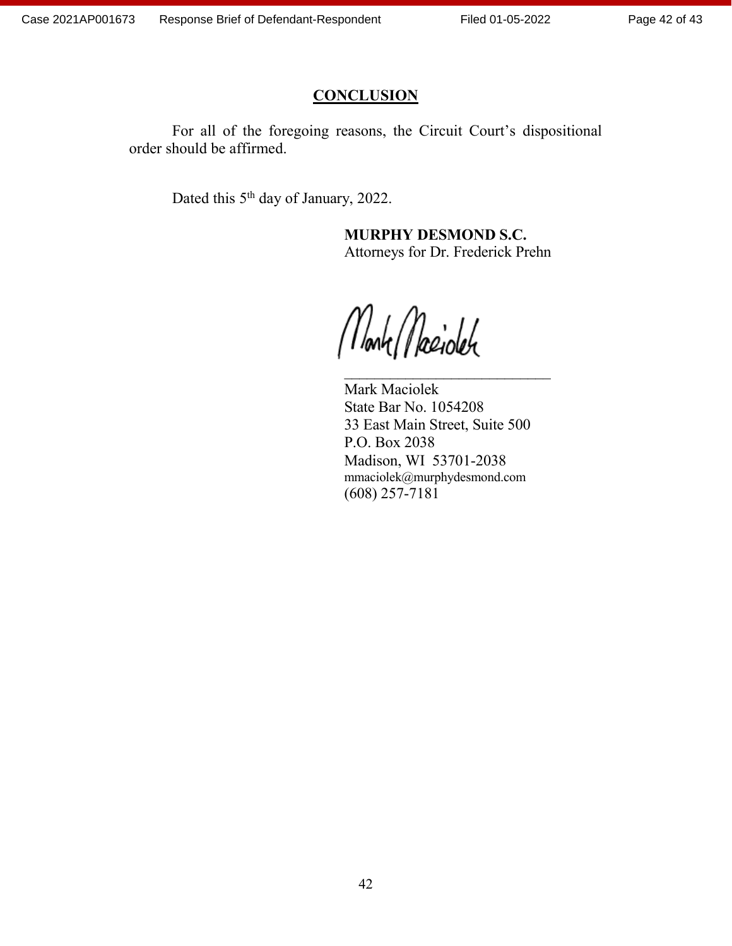## **CONCLUSION**

For all of the foregoing reasons, the Circuit Court's dispositional order should be affirmed.

Dated this 5<sup>th</sup> day of January, 2022.

**MURPHY DESMOND S.C.** Attorneys for Dr. Frederick Prehn

Monte Maciolete

Mark Maciolek State Bar No. 1054208 33 East Main Street, Suite 500 P.O. Box 2038 Madison, WI 53701-2038 mmaciolek@murphydesmond.com (608) 257-7181